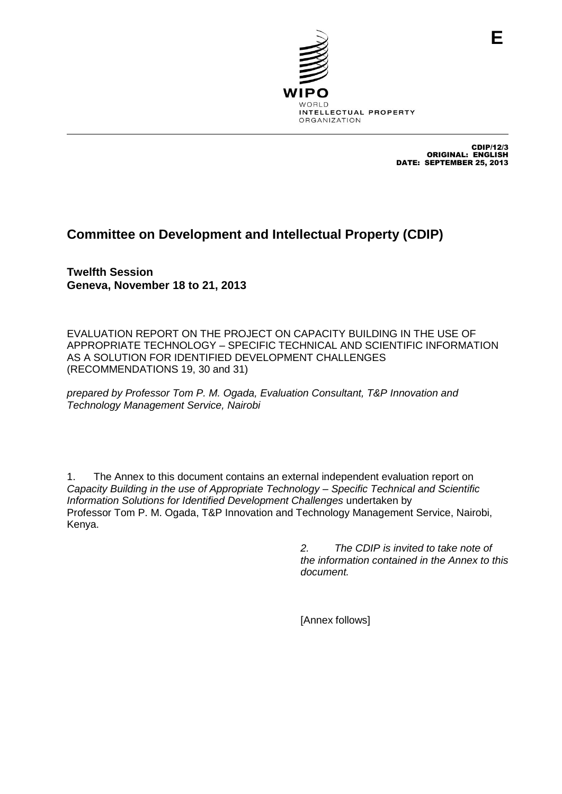

CDIP/12/3 ORIGINAL: ENGLISH DATE: SEPTEMBER 25, 2013

# **Committee on Development and Intellectual Property (CDIP)**

**Twelfth Session Geneva, November 18 to 21, 2013**

EVALUATION REPORT ON THE PROJECT ON CAPACITY BUILDING IN THE USE OF APPROPRIATE TECHNOLOGY – SPECIFIC TECHNICAL AND SCIENTIFIC INFORMATION AS A SOLUTION FOR IDENTIFIED DEVELOPMENT CHALLENGES (RECOMMENDATIONS 19, 30 and 31)

*prepared by Professor Tom P. M. Ogada, Evaluation Consultant, T&P Innovation and Technology Management Service, Nairobi*

1. The Annex to this document contains an external independent evaluation report on *Capacity Building in the use of Appropriate Technology – Specific Technical and Scientific Information Solutions for Identified Development Challenges* undertaken by Professor Tom P. M. Ogada, T&P Innovation and Technology Management Service, Nairobi, Kenya.

> *2. The CDIP is invited to take note of the information contained in the Annex to this document.*

[Annex follows]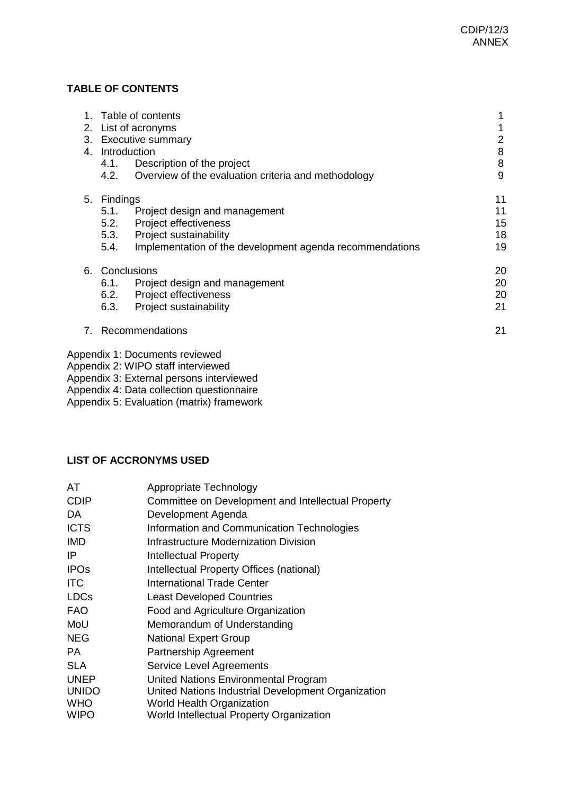### **TABLE OF CONTENTS**

|      |                                                          | 2                                                                                                                                                                                                                                                                                                                                                          |
|------|----------------------------------------------------------|------------------------------------------------------------------------------------------------------------------------------------------------------------------------------------------------------------------------------------------------------------------------------------------------------------------------------------------------------------|
|      |                                                          | 8                                                                                                                                                                                                                                                                                                                                                          |
|      |                                                          | 8                                                                                                                                                                                                                                                                                                                                                          |
| 4.2. | Overview of the evaluation criteria and methodology      | 9                                                                                                                                                                                                                                                                                                                                                          |
|      |                                                          | 11                                                                                                                                                                                                                                                                                                                                                         |
|      |                                                          | 11                                                                                                                                                                                                                                                                                                                                                         |
|      |                                                          | 15                                                                                                                                                                                                                                                                                                                                                         |
|      |                                                          | 18                                                                                                                                                                                                                                                                                                                                                         |
| 5.4. | Implementation of the development agenda recommendations | 19                                                                                                                                                                                                                                                                                                                                                         |
|      |                                                          | 20                                                                                                                                                                                                                                                                                                                                                         |
| 6.1. |                                                          | 20                                                                                                                                                                                                                                                                                                                                                         |
|      |                                                          | 20                                                                                                                                                                                                                                                                                                                                                         |
| 6.3. |                                                          | 21                                                                                                                                                                                                                                                                                                                                                         |
|      |                                                          | 21                                                                                                                                                                                                                                                                                                                                                         |
|      | 1.<br>5.1.<br>5.2.                                       | Table of contents<br>2. List of acronyms<br>3. Executive summary<br>Introduction<br>4.1. Description of the project<br>Findings<br>Project design and management<br><b>Project effectiveness</b><br>5.3. Project sustainability<br>Conclusions<br>Project design and management<br>6.2. Project effectiveness<br>Project sustainability<br>Recommendations |

Appendix 1: Documents reviewed

- Appendix 2: WIPO staff interviewed
- Appendix 3: External persons interviewed
- Appendix 4: Data collection questionnaire

Appendix 5: Evaluation (matrix) framework

### **LIST OF ACCRONYMS USED**

| AT           | Appropriate Technology                             |
|--------------|----------------------------------------------------|
| <b>CDIP</b>  | Committee on Development and Intellectual Property |
| DA           | Development Agenda                                 |
| <b>ICTS</b>  | Information and Communication Technologies         |
| <b>IMD</b>   | Infrastructure Modernization Division              |
| ΙP           | Intellectual Property                              |
| <b>IPOs</b>  | Intellectual Property Offices (national)           |
| <b>ITC</b>   | International Trade Center                         |
| <b>LDCs</b>  | <b>Least Developed Countries</b>                   |
| <b>FAO</b>   | Food and Agriculture Organization                  |
| MoU          | Memorandum of Understanding                        |
| <b>NEG</b>   | <b>National Expert Group</b>                       |
| PA.          | <b>Partnership Agreement</b>                       |
| <b>SLA</b>   | <b>Service Level Agreements</b>                    |
| <b>UNEP</b>  | United Nations Environmental Program               |
| <b>UNIDO</b> | United Nations Industrial Development Organization |
| <b>WHO</b>   | <b>World Health Organization</b>                   |
| <b>WIPO</b>  | World Intellectual Property Organization           |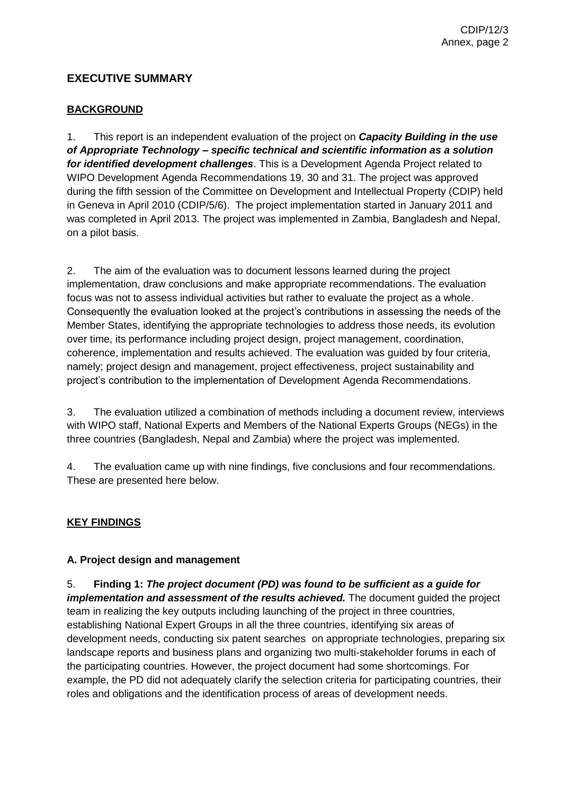### **EXECUTIVE SUMMARY**

### **BACKGROUND**

1. This report is an independent evaluation of the project on *Capacity Building in the use of Appropriate Technology – specific technical and scientific information as a solution for identified development challenges*. This is a Development Agenda Project related to WIPO Development Agenda Recommendations 19, 30 and 31. The project was approved during the fifth session of the Committee on Development and Intellectual Property (CDIP) held in Geneva in April 2010 (CDIP/5/6). The project implementation started in January 2011 and was completed in April 2013. The project was implemented in Zambia, Bangladesh and Nepal, on a pilot basis.

2. The aim of the evaluation was to document lessons learned during the project implementation, draw conclusions and make appropriate recommendations. The evaluation focus was not to assess individual activities but rather to evaluate the project as a whole. Consequently the evaluation looked at the project's contributions in assessing the needs of the Member States, identifying the appropriate technologies to address those needs, its evolution over time, its performance including project design, project management, coordination, coherence, implementation and results achieved. The evaluation was guided by four criteria, namely; project design and management, project effectiveness, project sustainability and project's contribution to the implementation of Development Agenda Recommendations.

3. The evaluation utilized a combination of methods including a document review, interviews with WIPO staff, National Experts and Members of the National Experts Groups (NEGs) in the three countries (Bangladesh, Nepal and Zambia) where the project was implemented.

4. The evaluation came up with nine findings, five conclusions and four recommendations. These are presented here below.

### **KEY FINDINGS**

#### **A. Project design and management**

5. **Finding 1:** *The project document (PD) was found to be sufficient as a guide for implementation and assessment of the results achieved.* The document guided the project team in realizing the key outputs including launching of the project in three countries, establishing National Expert Groups in all the three countries, identifying six areas of development needs, conducting six patent searches on appropriate technologies, preparing six landscape reports and business plans and organizing two multi-stakeholder forums in each of the participating countries. However, the project document had some shortcomings. For example, the PD did not adequately clarify the selection criteria for participating countries, their roles and obligations and the identification process of areas of development needs.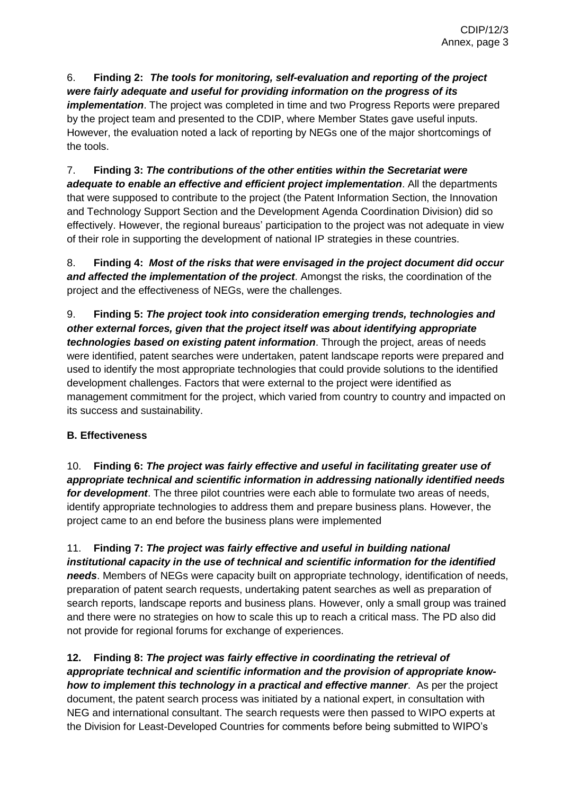### 6. **Finding 2:** *The tools for monitoring, self-evaluation and reporting of the project were fairly adequate and useful for providing information on the progress of its*

*implementation*. The project was completed in time and two Progress Reports were prepared by the project team and presented to the CDIP, where Member States gave useful inputs. However, the evaluation noted a lack of reporting by NEGs one of the major shortcomings of the tools.

7. **Finding 3:** *The contributions of the other entities within the Secretariat were adequate to enable an effective and efficient project implementation*. All the departments that were supposed to contribute to the project (the Patent Information Section, the Innovation and Technology Support Section and the Development Agenda Coordination Division) did so effectively. However, the regional bureaus' participation to the project was not adequate in view of their role in supporting the development of national IP strategies in these countries.

8. **Finding 4:** *Most of the risks that were envisaged in the project document did occur and affected the implementation of the project*. Amongst the risks, the coordination of the project and the effectiveness of NEGs, were the challenges.

9. **Finding 5:** *The project took into consideration emerging trends, technologies and other external forces, given that the project itself was about identifying appropriate technologies based on existing patent information*. Through the project, areas of needs were identified, patent searches were undertaken, patent landscape reports were prepared and used to identify the most appropriate technologies that could provide solutions to the identified development challenges. Factors that were external to the project were identified as management commitment for the project, which varied from country to country and impacted on its success and sustainability.

### **B. Effectiveness**

10. **Finding 6:** *The project was fairly effective and useful in facilitating greater use of appropriate technical and scientific information in addressing nationally identified needs for development*. The three pilot countries were each able to formulate two areas of needs, identify appropriate technologies to address them and prepare business plans. However, the project came to an end before the business plans were implemented

11. **Finding 7:** *The project was fairly effective and useful in building national institutional capacity in the use of technical and scientific information for the identified needs*. Members of NEGs were capacity built on appropriate technology, identification of needs, preparation of patent search requests, undertaking patent searches as well as preparation of search reports, landscape reports and business plans. However, only a small group was trained and there were no strategies on how to scale this up to reach a critical mass. The PD also did not provide for regional forums for exchange of experiences.

**12. Finding 8:** *The project was fairly effective in coordinating the retrieval of appropriate technical and scientific information and the provision of appropriate knowhow to implement this technology in a practical and effective manner*. As per the project document, the patent search process was initiated by a national expert, in consultation with NEG and international consultant. The search requests were then passed to WIPO experts at the Division for Least-Developed Countries for comments before being submitted to WIPO's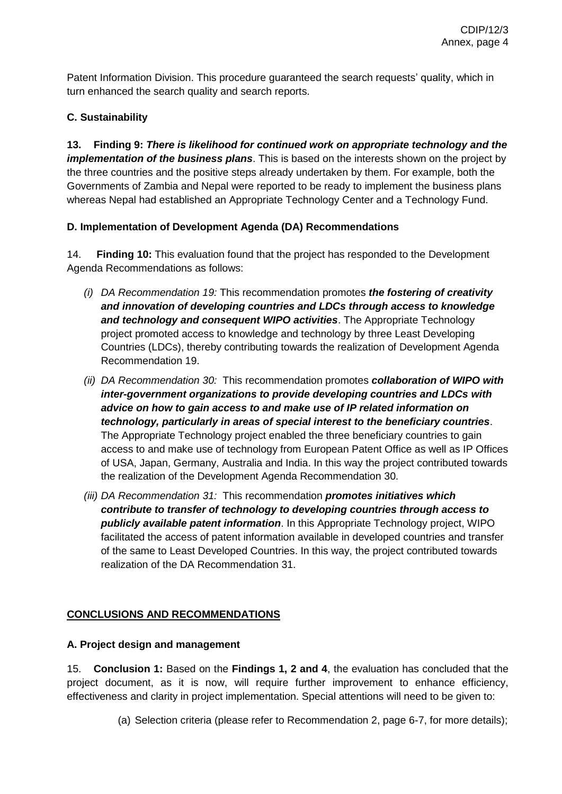Patent Information Division. This procedure guaranteed the search requests' quality, which in turn enhanced the search quality and search reports.

### **C. Sustainability**

**13. Finding 9:** *There is likelihood for continued work on appropriate technology and the implementation of the business plans*. This is based on the interests shown on the project by the three countries and the positive steps already undertaken by them. For example, both the Governments of Zambia and Nepal were reported to be ready to implement the business plans whereas Nepal had established an Appropriate Technology Center and a Technology Fund.

### **D. Implementation of Development Agenda (DA) Recommendations**

14. **Finding 10:** This evaluation found that the project has responded to the Development Agenda Recommendations as follows:

- *(i) DA Recommendation 19:* This recommendation promotes *the fostering of creativity and innovation of developing countries and LDCs through access to knowledge and technology and consequent WIPO activities*. The Appropriate Technology project promoted access to knowledge and technology by three Least Developing Countries (LDCs), thereby contributing towards the realization of Development Agenda Recommendation 19.
- *(ii) DA Recommendation 30:* This recommendation promotes *collaboration of WIPO with inter-government organizations to provide developing countries and LDCs with advice on how to gain access to and make use of IP related information on technology, particularly in areas of special interest to the beneficiary countries*. The Appropriate Technology project enabled the three beneficiary countries to gain access to and make use of technology from European Patent Office as well as IP Offices of USA, Japan, Germany, Australia and India. In this way the project contributed towards the realization of the Development Agenda Recommendation 30.
- *(iii) DA Recommendation 31:* This recommendation *promotes initiatives which contribute to transfer of technology to developing countries through access to publicly available patent information*. In this Appropriate Technology project, WIPO facilitated the access of patent information available in developed countries and transfer of the same to Least Developed Countries. In this way, the project contributed towards realization of the DA Recommendation 31.

## **CONCLUSIONS AND RECOMMENDATIONS**

### **A. Project design and management**

15. **Conclusion 1:** Based on the **Findings 1, 2 and 4**, the evaluation has concluded that the project document, as it is now, will require further improvement to enhance efficiency, effectiveness and clarity in project implementation. Special attentions will need to be given to:

(a) Selection criteria (please refer to Recommendation 2, page 6-7, for more details);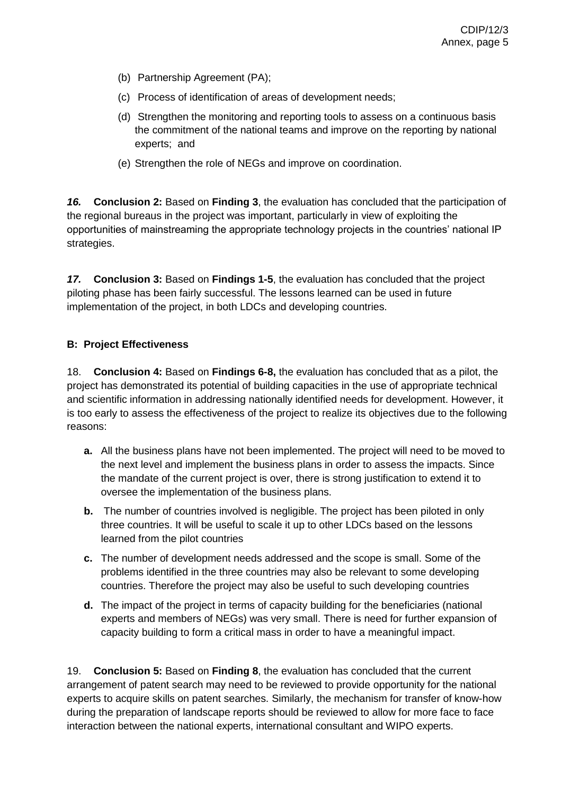- (b) Partnership Agreement (PA);
- (c) Process of identification of areas of development needs;
- (d) Strengthen the monitoring and reporting tools to assess on a continuous basis the commitment of the national teams and improve on the reporting by national experts; and
- (e) Strengthen the role of NEGs and improve on coordination.

*16.* **Conclusion 2:** Based on **Finding 3**, the evaluation has concluded that the participation of the regional bureaus in the project was important, particularly in view of exploiting the opportunities of mainstreaming the appropriate technology projects in the countries' national IP strategies.

*17.* **Conclusion 3:** Based on **Findings 1-5**, the evaluation has concluded that the project piloting phase has been fairly successful. The lessons learned can be used in future implementation of the project, in both LDCs and developing countries.

#### **B: Project Effectiveness**

18. **Conclusion 4:** Based on **Findings 6-8,** the evaluation has concluded that as a pilot, the project has demonstrated its potential of building capacities in the use of appropriate technical and scientific information in addressing nationally identified needs for development. However, it is too early to assess the effectiveness of the project to realize its objectives due to the following reasons:

- **a.** All the business plans have not been implemented. The project will need to be moved to the next level and implement the business plans in order to assess the impacts. Since the mandate of the current project is over, there is strong justification to extend it to oversee the implementation of the business plans.
- **b.** The number of countries involved is negligible. The project has been piloted in only three countries. It will be useful to scale it up to other LDCs based on the lessons learned from the pilot countries
- **c.** The number of development needs addressed and the scope is small. Some of the problems identified in the three countries may also be relevant to some developing countries. Therefore the project may also be useful to such developing countries
- **d.** The impact of the project in terms of capacity building for the beneficiaries (national experts and members of NEGs) was very small. There is need for further expansion of capacity building to form a critical mass in order to have a meaningful impact.

19. **Conclusion 5:** Based on **Finding 8**, the evaluation has concluded that the current arrangement of patent search may need to be reviewed to provide opportunity for the national experts to acquire skills on patent searches. Similarly, the mechanism for transfer of know-how during the preparation of landscape reports should be reviewed to allow for more face to face interaction between the national experts, international consultant and WIPO experts.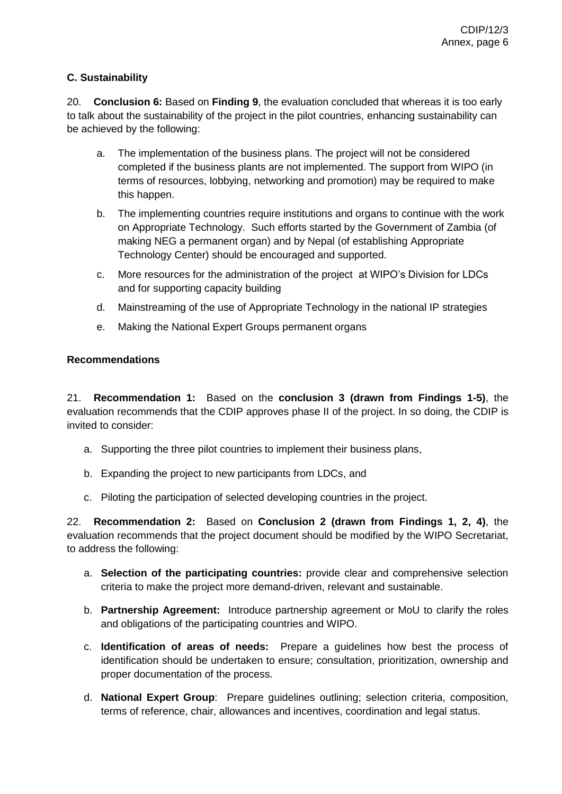### **C. Sustainability**

20. **Conclusion 6:** Based on **Finding 9**, the evaluation concluded that whereas it is too early to talk about the sustainability of the project in the pilot countries, enhancing sustainability can be achieved by the following:

- a. The implementation of the business plans. The project will not be considered completed if the business plants are not implemented. The support from WIPO (in terms of resources, lobbying, networking and promotion) may be required to make this happen.
- b. The implementing countries require institutions and organs to continue with the work on Appropriate Technology. Such efforts started by the Government of Zambia (of making NEG a permanent organ) and by Nepal (of establishing Appropriate Technology Center) should be encouraged and supported.
- c. More resources for the administration of the project at WIPO's Division for LDCs and for supporting capacity building
- d. Mainstreaming of the use of Appropriate Technology in the national IP strategies
- e. Making the National Expert Groups permanent organs

### **Recommendations**

21. **Recommendation 1:** Based on the **conclusion 3 (drawn from Findings 1-5)**, the evaluation recommends that the CDIP approves phase II of the project. In so doing, the CDIP is invited to consider:

- a. Supporting the three pilot countries to implement their business plans,
- b. Expanding the project to new participants from LDCs, and
- c. Piloting the participation of selected developing countries in the project.

22. **Recommendation 2:** Based on **Conclusion 2 (drawn from Findings 1, 2, 4)**, the evaluation recommends that the project document should be modified by the WIPO Secretariat, to address the following:

- a. **Selection of the participating countries:** provide clear and comprehensive selection criteria to make the project more demand-driven, relevant and sustainable.
- b. **Partnership Agreement:** Introduce partnership agreement or MoU to clarify the roles and obligations of the participating countries and WIPO.
- c. **Identification of areas of needs:** Prepare a guidelines how best the process of identification should be undertaken to ensure; consultation, prioritization, ownership and proper documentation of the process.
- d. **National Expert Group**: Prepare guidelines outlining; selection criteria, composition, terms of reference, chair, allowances and incentives, coordination and legal status.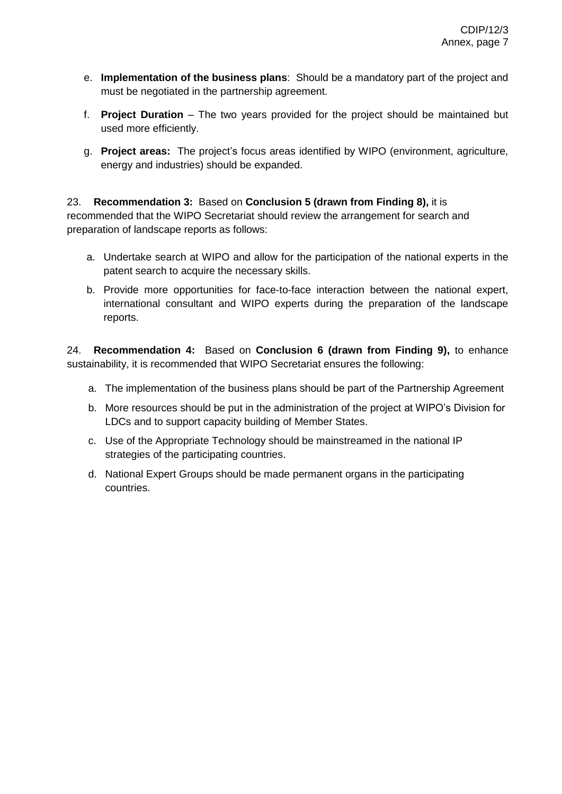- e. **Implementation of the business plans**: Should be a mandatory part of the project and must be negotiated in the partnership agreement.
- f. **Project Duration** The two years provided for the project should be maintained but used more efficiently.
- g. **Project areas:** The project's focus areas identified by WIPO (environment, agriculture, energy and industries) should be expanded.

# 23. **Recommendation 3:** Based on **Conclusion 5 (drawn from Finding 8),** it is

recommended that the WIPO Secretariat should review the arrangement for search and preparation of landscape reports as follows:

- a. Undertake search at WIPO and allow for the participation of the national experts in the patent search to acquire the necessary skills.
- b. Provide more opportunities for face-to-face interaction between the national expert, international consultant and WIPO experts during the preparation of the landscape reports.

24. **Recommendation 4:** Based on **Conclusion 6 (drawn from Finding 9),** to enhance sustainability, it is recommended that WIPO Secretariat ensures the following:

- a. The implementation of the business plans should be part of the Partnership Agreement
- b. More resources should be put in the administration of the project at WIPO's Division for LDCs and to support capacity building of Member States.
- c. Use of the Appropriate Technology should be mainstreamed in the national IP strategies of the participating countries.
- d. National Expert Groups should be made permanent organs in the participating countries.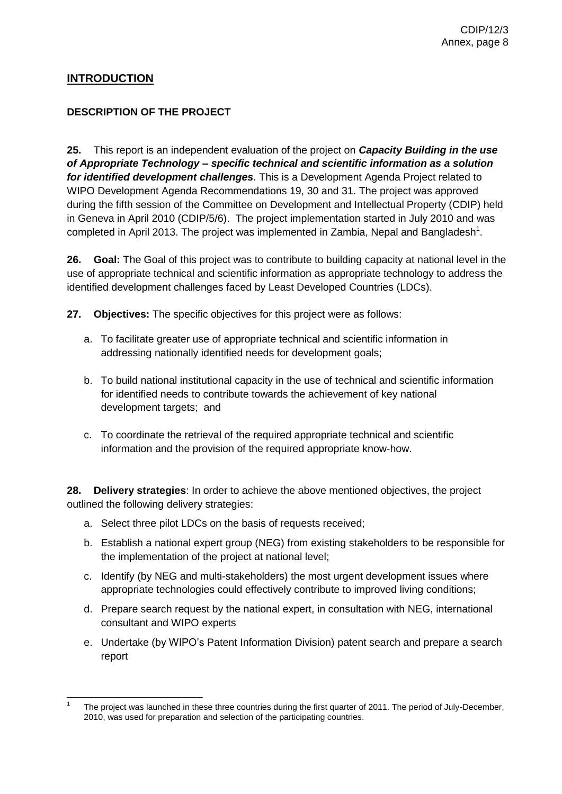### **INTRODUCTION**

### **DESCRIPTION OF THE PROJECT**

**25.** This report is an independent evaluation of the project on *Capacity Building in the use of Appropriate Technology – specific technical and scientific information as a solution for identified development challenges*. This is a Development Agenda Project related to WIPO Development Agenda Recommendations 19, 30 and 31. The project was approved during the fifth session of the Committee on Development and Intellectual Property (CDIP) held in Geneva in April 2010 (CDIP/5/6). The project implementation started in July 2010 and was completed in April 2013. The project was implemented in Zambia, Nepal and Bangladesh<sup>1</sup>.

**26. Goal:** The Goal of this project was to contribute to building capacity at national level in the use of appropriate technical and scientific information as appropriate technology to address the identified development challenges faced by Least Developed Countries (LDCs).

**27. Objectives:** The specific objectives for this project were as follows:

- a. To facilitate greater use of appropriate technical and scientific information in addressing nationally identified needs for development goals;
- b. To build national institutional capacity in the use of technical and scientific information for identified needs to contribute towards the achievement of key national development targets; and
- c. To coordinate the retrieval of the required appropriate technical and scientific information and the provision of the required appropriate know-how.

**28. Delivery strategies**: In order to achieve the above mentioned objectives, the project outlined the following delivery strategies:

- a. Select three pilot LDCs on the basis of requests received;
- b. Establish a national expert group (NEG) from existing stakeholders to be responsible for the implementation of the project at national level;
- c. Identify (by NEG and multi-stakeholders) the most urgent development issues where appropriate technologies could effectively contribute to improved living conditions;
- d. Prepare search request by the national expert, in consultation with NEG, international consultant and WIPO experts
- e. Undertake (by WIPO's Patent Information Division) patent search and prepare a search report

 $\overline{a}$ 1 The project was launched in these three countries during the first quarter of 2011. The period of July-December, 2010, was used for preparation and selection of the participating countries.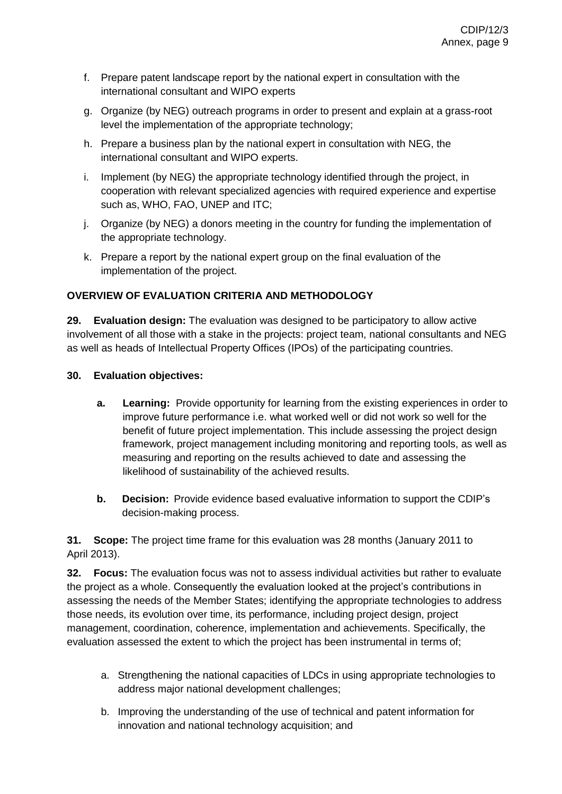- f. Prepare patent landscape report by the national expert in consultation with the international consultant and WIPO experts
- g. Organize (by NEG) outreach programs in order to present and explain at a grass-root level the implementation of the appropriate technology;
- h. Prepare a business plan by the national expert in consultation with NEG, the international consultant and WIPO experts.
- i. Implement (by NEG) the appropriate technology identified through the project, in cooperation with relevant specialized agencies with required experience and expertise such as, WHO, FAO, UNEP and ITC;
- j. Organize (by NEG) a donors meeting in the country for funding the implementation of the appropriate technology.
- k. Prepare a report by the national expert group on the final evaluation of the implementation of the project.

### **OVERVIEW OF EVALUATION CRITERIA AND METHODOLOGY**

**29. Evaluation design:** The evaluation was designed to be participatory to allow active involvement of all those with a stake in the projects: project team, national consultants and NEG as well as heads of Intellectual Property Offices (IPOs) of the participating countries.

### **30. Evaluation objectives:**

- **a. Learning:** Provide opportunity for learning from the existing experiences in order to improve future performance i.e. what worked well or did not work so well for the benefit of future project implementation. This include assessing the project design framework, project management including monitoring and reporting tools, as well as measuring and reporting on the results achieved to date and assessing the likelihood of sustainability of the achieved results.
- **b. Decision:** Provide evidence based evaluative information to support the CDIP's decision-making process.

**31. Scope:** The project time frame for this evaluation was 28 months (January 2011 to April 2013).

**32. Focus:** The evaluation focus was not to assess individual activities but rather to evaluate the project as a whole. Consequently the evaluation looked at the project's contributions in assessing the needs of the Member States; identifying the appropriate technologies to address those needs, its evolution over time, its performance, including project design, project management, coordination, coherence, implementation and achievements. Specifically, the evaluation assessed the extent to which the project has been instrumental in terms of;

- a. Strengthening the national capacities of LDCs in using appropriate technologies to address major national development challenges;
- b. Improving the understanding of the use of technical and patent information for innovation and national technology acquisition; and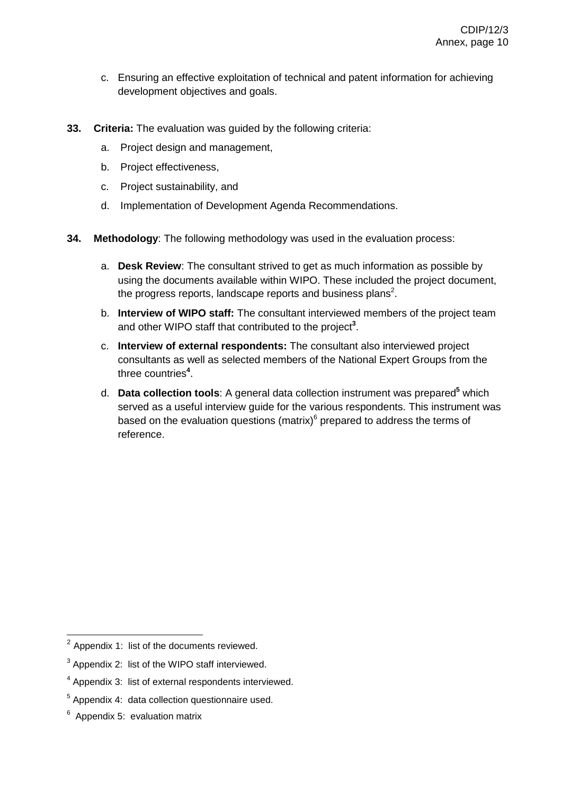- c. Ensuring an effective exploitation of technical and patent information for achieving development objectives and goals.
- **33. Criteria:** The evaluation was guided by the following criteria:
	- a. Project design and management,
	- b. Project effectiveness,
	- c. Project sustainability, and
	- d. Implementation of Development Agenda Recommendations.
- **34. Methodology**: The following methodology was used in the evaluation process:
	- a. **Desk Review**: The consultant strived to get as much information as possible by using the documents available within WIPO. These included the project document, the progress reports, landscape reports and business plans<sup>2</sup>.
	- b. **Interview of WIPO staff:** The consultant interviewed members of the project team and other WIPO staff that contributed to the project<sup>3</sup>.
	- c. **Interview of external respondents:** The consultant also interviewed project consultants as well as selected members of the National Expert Groups from the three countries**<sup>4</sup>** .
	- d. **Data collection tools**: A general data collection instrument was prepared**<sup>5</sup>** which served as a useful interview guide for the various respondents. This instrument was based on the evaluation questions (matrix) $<sup>6</sup>$  prepared to address the terms of</sup> reference.

 $\overline{a}$ 

 $2$  Appendix 1: list of the documents reviewed.

 $3$  Appendix 2: list of the WIPO staff interviewed.

<sup>&</sup>lt;sup>4</sup> Appendix 3: list of external respondents interviewed.

 $<sup>5</sup>$  Appendix 4: data collection questionnaire used.</sup>

 $6$  Appendix 5: evaluation matrix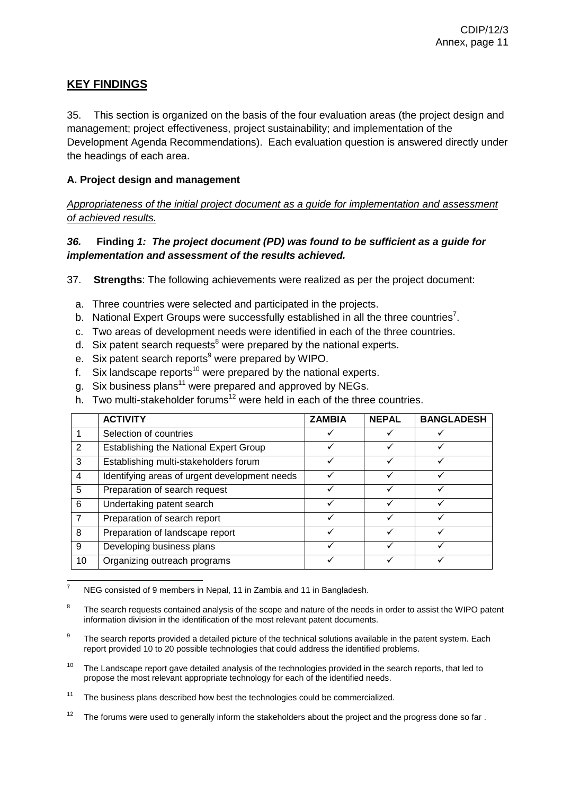### **KEY FINDINGS**

35. This section is organized on the basis of the four evaluation areas (the project design and management; project effectiveness, project sustainability; and implementation of the Development Agenda Recommendations). Each evaluation question is answered directly under the headings of each area.

### **A. Project design and management**

*Appropriateness of the initial project document as a guide for implementation and assessment of achieved results.* 

### *36.* **Finding** *1: The project document (PD) was found to be sufficient as a guide for implementation and assessment of the results achieved.*

37. **Strengths**: The following achievements were realized as per the project document:

- a. Three countries were selected and participated in the projects.
- b. National Expert Groups were successfully established in all the three countries<sup>7</sup>.
- c. Two areas of development needs were identified in each of the three countries.
- d. Six patent search requests $<sup>8</sup>$  were prepared by the national experts.</sup>
- e. Six patent search reports<sup>9</sup> were prepared by WIPO.
- f. Six landscape reports<sup>10</sup> were prepared by the national experts.
- g. Six business plans<sup>11</sup> were prepared and approved by NEGs.
- h. Two multi-stakeholder forums<sup>12</sup> were held in each of the three countries.

|                 | <b>ACTIVITY</b>                               | <b>ZAMBIA</b> | <b>NEPAL</b> | <b>BANGLADESH</b> |
|-----------------|-----------------------------------------------|---------------|--------------|-------------------|
|                 | Selection of countries                        |               |              |                   |
| $\overline{2}$  | Establishing the National Expert Group        | ✓             | ✓            |                   |
| 3               | Establishing multi-stakeholders forum         |               |              |                   |
| $\overline{4}$  | Identifying areas of urgent development needs |               |              |                   |
| 5               | Preparation of search request                 |               | ✓            |                   |
| $6\phantom{1}6$ | Undertaking patent search                     |               |              |                   |
| $\overline{7}$  | Preparation of search report                  | ✓             | v            |                   |
| 8               | Preparation of landscape report               | ✓             | $\checkmark$ |                   |
| 9               | Developing business plans                     |               |              |                   |
| 10              | Organizing outreach programs                  |               |              |                   |

 $\overline{a}$ NEG consisted of 9 members in Nepal, 11 in Zambia and 11 in Bangladesh.

10 The Landscape report gave detailed analysis of the technologies provided in the search reports, that led to propose the most relevant appropriate technology for each of the identified needs.

<sup>8</sup> The search requests contained analysis of the scope and nature of the needs in order to assist the WIPO patent information division in the identification of the most relevant patent documents.

<sup>9</sup> The search reports provided a detailed picture of the technical solutions available in the patent system. Each report provided 10 to 20 possible technologies that could address the identified problems.

 $11$  The business plans described how best the technologies could be commercialized.

<sup>&</sup>lt;sup>12</sup> The forums were used to generally inform the stakeholders about the project and the progress done so far.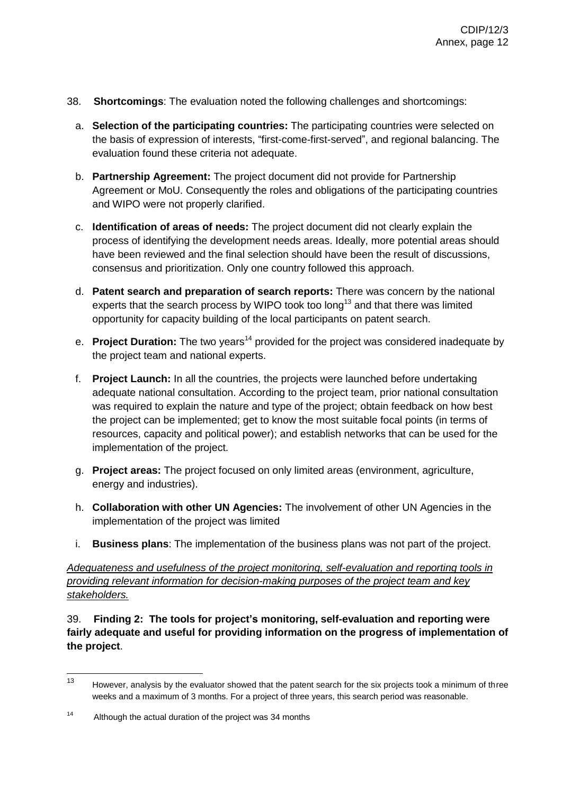- 38. **Shortcomings**: The evaluation noted the following challenges and shortcomings:
	- a. **Selection of the participating countries:** The participating countries were selected on the basis of expression of interests, "first-come-first-served", and regional balancing. The evaluation found these criteria not adequate.
	- b. **Partnership Agreement:** The project document did not provide for Partnership Agreement or MoU. Consequently the roles and obligations of the participating countries and WIPO were not properly clarified.
	- c. **Identification of areas of needs:** The project document did not clearly explain the process of identifying the development needs areas. Ideally, more potential areas should have been reviewed and the final selection should have been the result of discussions, consensus and prioritization. Only one country followed this approach.
	- d. **Patent search and preparation of search reports:** There was concern by the national experts that the search process by WIPO took too long<sup>13</sup> and that there was limited opportunity for capacity building of the local participants on patent search.
	- e. **Project Duration:** The two years<sup>14</sup> provided for the project was considered inadequate by the project team and national experts.
	- f. **Project Launch:** In all the countries, the projects were launched before undertaking adequate national consultation. According to the project team, prior national consultation was required to explain the nature and type of the project; obtain feedback on how best the project can be implemented; get to know the most suitable focal points (in terms of resources, capacity and political power); and establish networks that can be used for the implementation of the project.
	- g. **Project areas:** The project focused on only limited areas (environment, agriculture, energy and industries).
	- h. **Collaboration with other UN Agencies:** The involvement of other UN Agencies in the implementation of the project was limited
	- i. **Business plans**: The implementation of the business plans was not part of the project.

*Adequateness and usefulness of the project monitoring, self-evaluation and reporting tools in providing relevant information for decision-making purposes of the project team and key stakeholders.* 

39. **Finding 2: The tools for project's monitoring, self-evaluation and reporting were fairly adequate and useful for providing information on the progress of implementation of the project**.

<sup>13</sup> However, analysis by the evaluator showed that the patent search for the six projects took a minimum of three weeks and a maximum of 3 months. For a project of three years, this search period was reasonable.

<sup>14</sup> Although the actual duration of the project was 34 months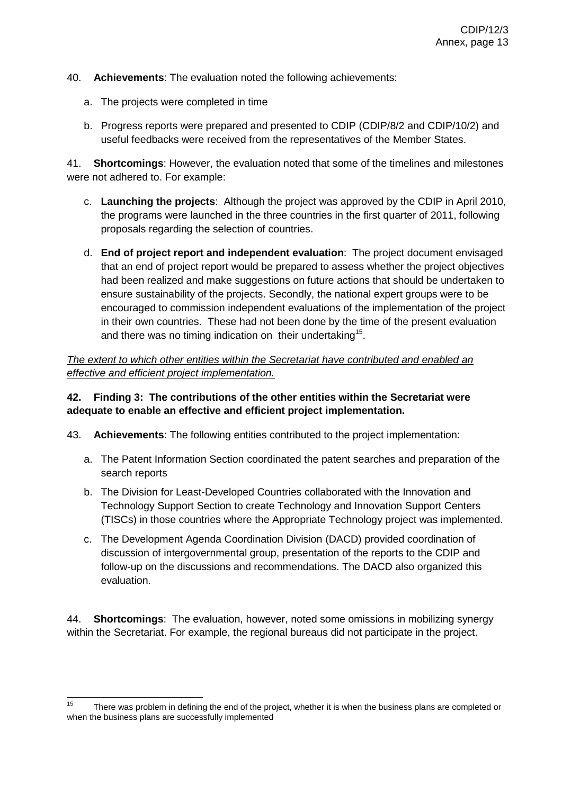- 40. **Achievements**: The evaluation noted the following achievements:
	- a. The projects were completed in time
	- b. Progress reports were prepared and presented to CDIP (CDIP/8/2 and CDIP/10/2) and useful feedbacks were received from the representatives of the Member States.

41. **Shortcomings**: However, the evaluation noted that some of the timelines and milestones were not adhered to. For example:

- c. **Launching the projects**: Although the project was approved by the CDIP in April 2010, the programs were launched in the three countries in the first quarter of 2011, following proposals regarding the selection of countries.
- d. **End of project report and independent evaluation**: The project document envisaged that an end of project report would be prepared to assess whether the project objectives had been realized and make suggestions on future actions that should be undertaken to ensure sustainability of the projects. Secondly, the national expert groups were to be encouraged to commission independent evaluations of the implementation of the project in their own countries. These had not been done by the time of the present evaluation and there was no timing indication on their undertaking<sup>15</sup>.

*The extent to which other entities within the Secretariat have contributed and enabled an effective and efficient project implementation.* 

### **42. Finding 3: The contributions of the other entities within the Secretariat were adequate to enable an effective and efficient project implementation.**

43. **Achievements**: The following entities contributed to the project implementation:

- a. The Patent Information Section coordinated the patent searches and preparation of the search reports
- b. The Division for Least-Developed Countries collaborated with the Innovation and Technology Support Section to create Technology and Innovation Support Centers (TISCs) in those countries where the Appropriate Technology project was implemented.
- c. The Development Agenda Coordination Division (DACD) provided coordination of discussion of intergovernmental group, presentation of the reports to the CDIP and follow-up on the discussions and recommendations. The DACD also organized this evaluation.

44. **Shortcomings**: The evaluation, however, noted some omissions in mobilizing synergy within the Secretariat. For example, the regional bureaus did not participate in the project.

<sup>15</sup> There was problem in defining the end of the project, whether it is when the business plans are completed or when the business plans are successfully implemented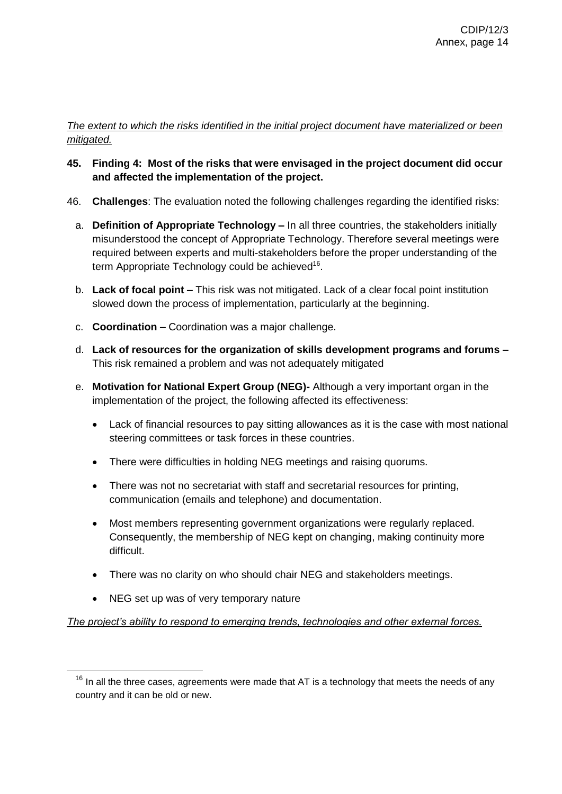#### *The extent to which the risks identified in the initial project document have materialized or been mitigated.*

- **45. Finding 4: Most of the risks that were envisaged in the project document did occur and affected the implementation of the project.**
- 46. **Challenges**: The evaluation noted the following challenges regarding the identified risks:
	- a. **Definition of Appropriate Technology –** In all three countries, the stakeholders initially misunderstood the concept of Appropriate Technology. Therefore several meetings were required between experts and multi-stakeholders before the proper understanding of the term Appropriate Technology could be achieved<sup>16</sup>.
	- b. **Lack of focal point –** This risk was not mitigated. Lack of a clear focal point institution slowed down the process of implementation, particularly at the beginning.
	- c. **Coordination –** Coordination was a major challenge.
	- d. **Lack of resources for the organization of skills development programs and forums –** This risk remained a problem and was not adequately mitigated
	- e. **Motivation for National Expert Group (NEG)-** Although a very important organ in the implementation of the project, the following affected its effectiveness:
		- Lack of financial resources to pay sitting allowances as it is the case with most national steering committees or task forces in these countries.
		- There were difficulties in holding NEG meetings and raising quorums.
		- There was not no secretariat with staff and secretarial resources for printing, communication (emails and telephone) and documentation.
		- Most members representing government organizations were regularly replaced. Consequently, the membership of NEG kept on changing, making continuity more difficult.
		- There was no clarity on who should chair NEG and stakeholders meetings.
		- NEG set up was of very temporary nature

 $\overline{a}$ 

### *The project's ability to respond to emerging trends, technologies and other external forces.*

 $16$  In all the three cases, agreements were made that AT is a technology that meets the needs of any country and it can be old or new.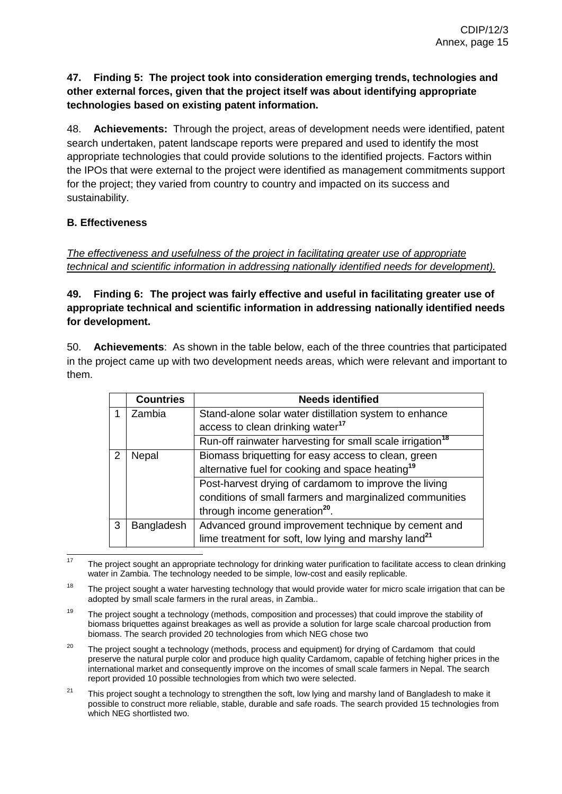### **47. Finding 5: The project took into consideration emerging trends, technologies and other external forces, given that the project itself was about identifying appropriate technologies based on existing patent information.**

48. **Achievements:** Through the project, areas of development needs were identified, patent search undertaken, patent landscape reports were prepared and used to identify the most appropriate technologies that could provide solutions to the identified projects. Factors within the IPOs that were external to the project were identified as management commitments support for the project; they varied from country to country and impacted on its success and sustainability.

### **B. Effectiveness**

*The effectiveness and usefulness of the project in facilitating greater use of appropriate technical and scientific information in addressing nationally identified needs for development).* 

### **49. Finding 6: The project was fairly effective and useful in facilitating greater use of appropriate technical and scientific information in addressing nationally identified needs for development.**

50. **Achievements**: As shown in the table below, each of the three countries that participated in the project came up with two development needs areas, which were relevant and important to them.

|            | <b>Countries</b> | <b>Needs identified</b>                                               |
|------------|------------------|-----------------------------------------------------------------------|
|            | Zambia           | Stand-alone solar water distillation system to enhance                |
|            |                  | access to clean drinking water <sup>17</sup>                          |
|            |                  | Run-off rainwater harvesting for small scale irrigation <sup>18</sup> |
| 2<br>Nepal |                  | Biomass briquetting for easy access to clean, green                   |
|            |                  | alternative fuel for cooking and space heating <sup>19</sup>          |
|            |                  | Post-harvest drying of cardamom to improve the living                 |
|            |                  | conditions of small farmers and marginalized communities              |
|            |                  | through income generation <sup>20</sup> .                             |
| 3          | Bangladesh       | Advanced ground improvement technique by cement and                   |
|            |                  | lime treatment for soft, low lying and marshy land <sup>21</sup>      |

 $17$ The project sought an appropriate technology for drinking water purification to facilitate access to clean drinking water in Zambia. The technology needed to be simple, low-cost and easily replicable.

- 18 The project sought a water harvesting technology that would provide water for micro scale irrigation that can be adopted by small scale farmers in the rural areas, in Zambia..
- 19 The project sought a technology (methods, composition and processes) that could improve the stability of biomass briquettes against breakages as well as provide a solution for large scale charcoal production from biomass. The search provided 20 technologies from which NEG chose two
- 20 The project sought a technology (methods, process and equipment) for drying of Cardamom that could preserve the natural purple color and produce high quality Cardamom, capable of fetching higher prices in the international market and consequently improve on the incomes of small scale farmers in Nepal. The search report provided 10 possible technologies from which two were selected.
- 21 This project sought a technology to strengthen the soft, low lying and marshy land of Bangladesh to make it possible to construct more reliable, stable, durable and safe roads. The search provided 15 technologies from which NEG shortlisted two.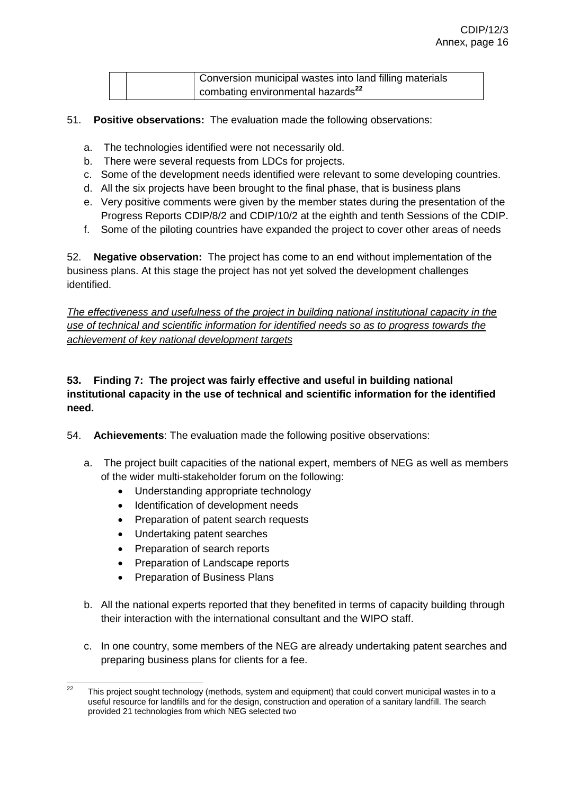|  | Conversion municipal wastes into land filling materials |
|--|---------------------------------------------------------|
|  | combating environmental hazards <sup>22</sup>           |

- 51. **Positive observations:** The evaluation made the following observations:
	- a. The technologies identified were not necessarily old.
	- b. There were several requests from LDCs for projects.
	- c. Some of the development needs identified were relevant to some developing countries.
	- d. All the six projects have been brought to the final phase, that is business plans
	- e. Very positive comments were given by the member states during the presentation of the Progress Reports CDIP/8/2 and CDIP/10/2 at the eighth and tenth Sessions of the CDIP.
	- f. Some of the piloting countries have expanded the project to cover other areas of needs

52. **Negative observation:** The project has come to an end without implementation of the business plans. At this stage the project has not yet solved the development challenges identified.

*The effectiveness and usefulness of the project in building national institutional capacity in the use of technical and scientific information for identified needs so as to progress towards the achievement of key national development targets*

### **53. Finding 7: The project was fairly effective and useful in building national institutional capacity in the use of technical and scientific information for the identified need.**

- 54. **Achievements**: The evaluation made the following positive observations:
	- a. The project built capacities of the national expert, members of NEG as well as members of the wider multi-stakeholder forum on the following:
		- Understanding appropriate technology
		- Identification of development needs
		- Preparation of patent search requests
		- Undertaking patent searches
		- Preparation of search reports
		- Preparation of Landscape reports
		- Preparation of Business Plans
	- b. All the national experts reported that they benefited in terms of capacity building through their interaction with the international consultant and the WIPO staff.
	- c. In one country, some members of the NEG are already undertaking patent searches and preparing business plans for clients for a fee.

 $\frac{1}{22}$  This project sought technology (methods, system and equipment) that could convert municipal wastes in to a useful resource for landfills and for the design, construction and operation of a sanitary landfill. The search provided 21 technologies from which NEG selected two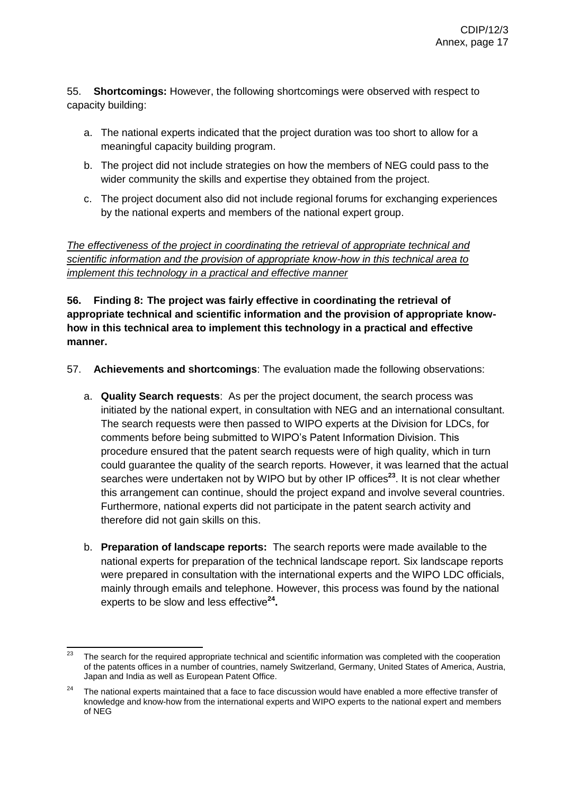55. **Shortcomings:** However, the following shortcomings were observed with respect to capacity building:

- a. The national experts indicated that the project duration was too short to allow for a meaningful capacity building program.
- b. The project did not include strategies on how the members of NEG could pass to the wider community the skills and expertise they obtained from the project.
- c. The project document also did not include regional forums for exchanging experiences by the national experts and members of the national expert group.

*The effectiveness of the project in coordinating the retrieval of appropriate technical and scientific information and the provision of appropriate know-how in this technical area to implement this technology in a practical and effective manner*

**56. Finding 8: The project was fairly effective in coordinating the retrieval of appropriate technical and scientific information and the provision of appropriate knowhow in this technical area to implement this technology in a practical and effective manner.** 

- 57. **Achievements and shortcomings**: The evaluation made the following observations:
	- a. **Quality Search requests**: As per the project document, the search process was initiated by the national expert, in consultation with NEG and an international consultant. The search requests were then passed to WIPO experts at the Division for LDCs, for comments before being submitted to WIPO's Patent Information Division. This procedure ensured that the patent search requests were of high quality, which in turn could guarantee the quality of the search reports. However, it was learned that the actual searches were undertaken not by WIPO but by other IP offices<sup>23</sup>. It is not clear whether this arrangement can continue, should the project expand and involve several countries. Furthermore, national experts did not participate in the patent search activity and therefore did not gain skills on this.
	- b. **Preparation of landscape reports:** The search reports were made available to the national experts for preparation of the technical landscape report. Six landscape reports were prepared in consultation with the international experts and the WIPO LDC officials, mainly through emails and telephone. However, this process was found by the national experts to be slow and less effective**<sup>24</sup> .**

 $2<sub>3</sub>$ The search for the required appropriate technical and scientific information was completed with the cooperation of the patents offices in a number of countries, namely Switzerland, Germany, United States of America, Austria, Japan and India as well as European Patent Office.

<sup>&</sup>lt;sup>24</sup> The national experts maintained that a face to face discussion would have enabled a more effective transfer of knowledge and know-how from the international experts and WIPO experts to the national expert and members of NEG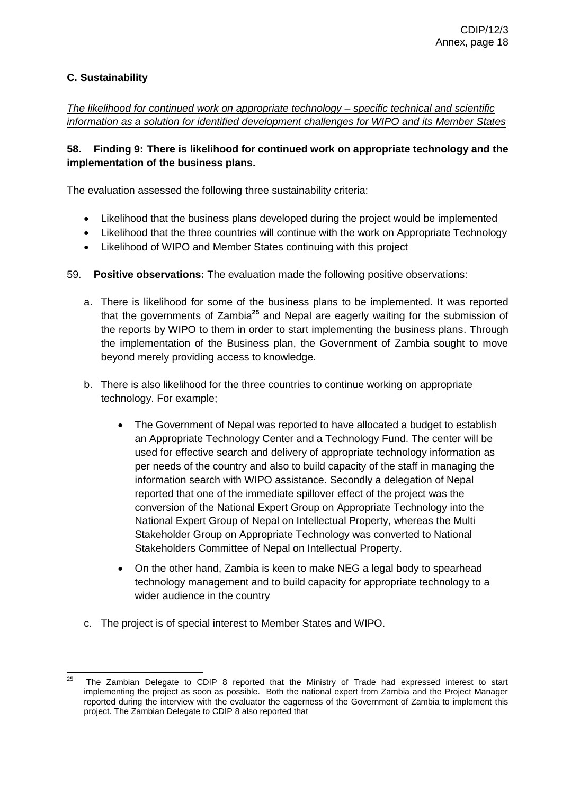### **C. Sustainability**

*The likelihood for continued work on appropriate technology – specific technical and scientific information as a solution for identified development challenges for WIPO and its Member States*

### **58. Finding 9: There is likelihood for continued work on appropriate technology and the implementation of the business plans.**

The evaluation assessed the following three sustainability criteria:

- Likelihood that the business plans developed during the project would be implemented
- Likelihood that the three countries will continue with the work on Appropriate Technology
- Likelihood of WIPO and Member States continuing with this project
- 59. **Positive observations:** The evaluation made the following positive observations:
	- a. There is likelihood for some of the business plans to be implemented. It was reported that the governments of Zambia**<sup>25</sup>** and Nepal are eagerly waiting for the submission of the reports by WIPO to them in order to start implementing the business plans. Through the implementation of the Business plan, the Government of Zambia sought to move beyond merely providing access to knowledge.
	- b. There is also likelihood for the three countries to continue working on appropriate technology. For example;
		- The Government of Nepal was reported to have allocated a budget to establish an Appropriate Technology Center and a Technology Fund. The center will be used for effective search and delivery of appropriate technology information as per needs of the country and also to build capacity of the staff in managing the information search with WIPO assistance. Secondly a delegation of Nepal reported that one of the immediate spillover effect of the project was the conversion of the National Expert Group on Appropriate Technology into the National Expert Group of Nepal on Intellectual Property, whereas the Multi Stakeholder Group on Appropriate Technology was converted to National Stakeholders Committee of Nepal on Intellectual Property.
		- On the other hand, Zambia is keen to make NEG a legal body to spearhead technology management and to build capacity for appropriate technology to a wider audience in the country
	- c. The project is of special interest to Member States and WIPO.

 $25$ The Zambian Delegate to CDIP 8 reported that the Ministry of Trade had expressed interest to start implementing the project as soon as possible. Both the national expert from Zambia and the Project Manager reported during the interview with the evaluator the eagerness of the Government of Zambia to implement this project. The Zambian Delegate to CDIP 8 also reported that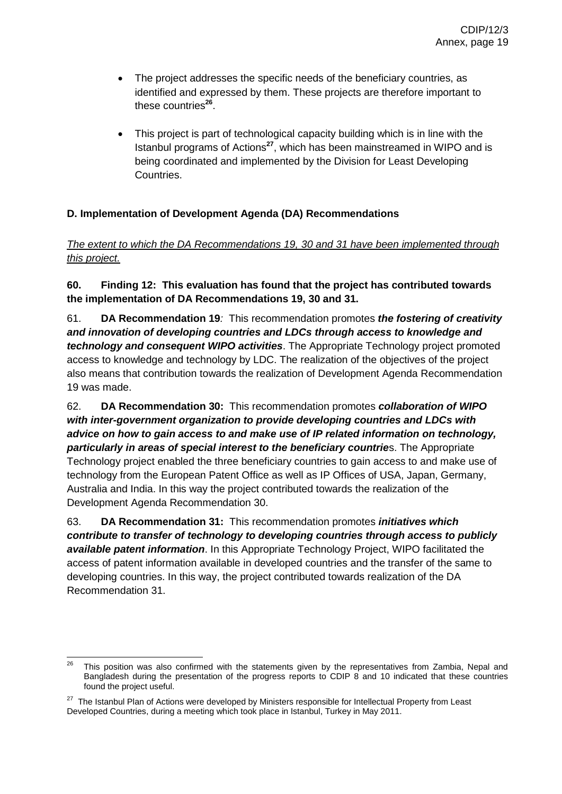- The project addresses the specific needs of the beneficiary countries, as identified and expressed by them. These projects are therefore important to these countries<sup>26</sup>.
- This project is part of technological capacity building which is in line with the Istanbul programs of Actions**<sup>27</sup>** , which has been mainstreamed in WIPO and is being coordinated and implemented by the Division for Least Developing Countries.

### **D. Implementation of Development Agenda (DA) Recommendations**

### *The extent to which the DA Recommendations 19, 30 and 31 have been implemented through this project.*

### **60. Finding 12: This evaluation has found that the project has contributed towards the implementation of DA Recommendations 19, 30 and 31.**

61. **DA Recommendation 19***:* This recommendation promotes *the fostering of creativity and innovation of developing countries and LDCs through access to knowledge and technology and consequent WIPO activities*. The Appropriate Technology project promoted access to knowledge and technology by LDC. The realization of the objectives of the project also means that contribution towards the realization of Development Agenda Recommendation 19 was made.

62. **DA Recommendation 30:** This recommendation promotes *collaboration of WIPO with inter-government organization to provide developing countries and LDCs with advice on how to gain access to and make use of IP related information on technology, particularly in areas of special interest to the beneficiary countrie*s. The Appropriate Technology project enabled the three beneficiary countries to gain access to and make use of technology from the European Patent Office as well as IP Offices of USA, Japan, Germany, Australia and India. In this way the project contributed towards the realization of the Development Agenda Recommendation 30.

63. **DA Recommendation 31:** This recommendation promotes *initiatives which contribute to transfer of technology to developing countries through access to publicly available patent information*. In this Appropriate Technology Project, WIPO facilitated the access of patent information available in developed countries and the transfer of the same to developing countries. In this way, the project contributed towards realization of the DA Recommendation 31.

<sup>26</sup> This position was also confirmed with the statements given by the representatives from Zambia, Nepal and Bangladesh during the presentation of the progress reports to CDIP 8 and 10 indicated that these countries found the project useful.

<sup>&</sup>lt;sup>27</sup> The Istanbul Plan of Actions were developed by Ministers responsible for Intellectual Property from Least Developed Countries, during a meeting which took place in Istanbul, Turkey in May 2011.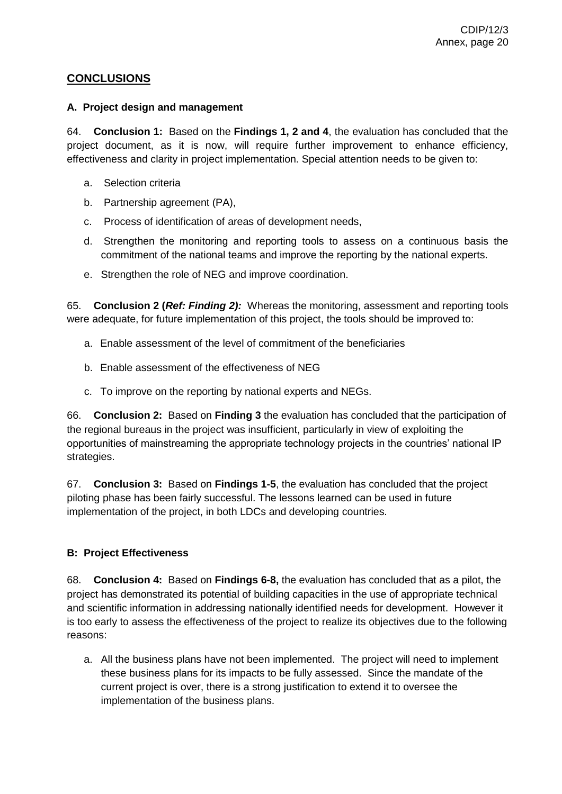### **CONCLUSIONS**

#### **A. Project design and management**

64. **Conclusion 1:** Based on the **Findings 1, 2 and 4**, the evaluation has concluded that the project document, as it is now, will require further improvement to enhance efficiency, effectiveness and clarity in project implementation. Special attention needs to be given to:

- a. Selection criteria
- b. Partnership agreement (PA),
- c. Process of identification of areas of development needs,
- d. Strengthen the monitoring and reporting tools to assess on a continuous basis the commitment of the national teams and improve the reporting by the national experts.
- e. Strengthen the role of NEG and improve coordination.

65. **Conclusion 2 (***Ref: Finding 2):* Whereas the monitoring, assessment and reporting tools were adequate, for future implementation of this project, the tools should be improved to:

- a. Enable assessment of the level of commitment of the beneficiaries
- b. Enable assessment of the effectiveness of NEG
- c. To improve on the reporting by national experts and NEGs.

66. **Conclusion 2:** Based on **Finding 3** the evaluation has concluded that the participation of the regional bureaus in the project was insufficient, particularly in view of exploiting the opportunities of mainstreaming the appropriate technology projects in the countries' national IP strategies.

67. **Conclusion 3:** Based on **Findings 1-5**, the evaluation has concluded that the project piloting phase has been fairly successful. The lessons learned can be used in future implementation of the project, in both LDCs and developing countries.

### **B: Project Effectiveness**

68. **Conclusion 4:** Based on **Findings 6-8,** the evaluation has concluded that as a pilot, the project has demonstrated its potential of building capacities in the use of appropriate technical and scientific information in addressing nationally identified needs for development. However it is too early to assess the effectiveness of the project to realize its objectives due to the following reasons:

a. All the business plans have not been implemented. The project will need to implement these business plans for its impacts to be fully assessed. Since the mandate of the current project is over, there is a strong justification to extend it to oversee the implementation of the business plans.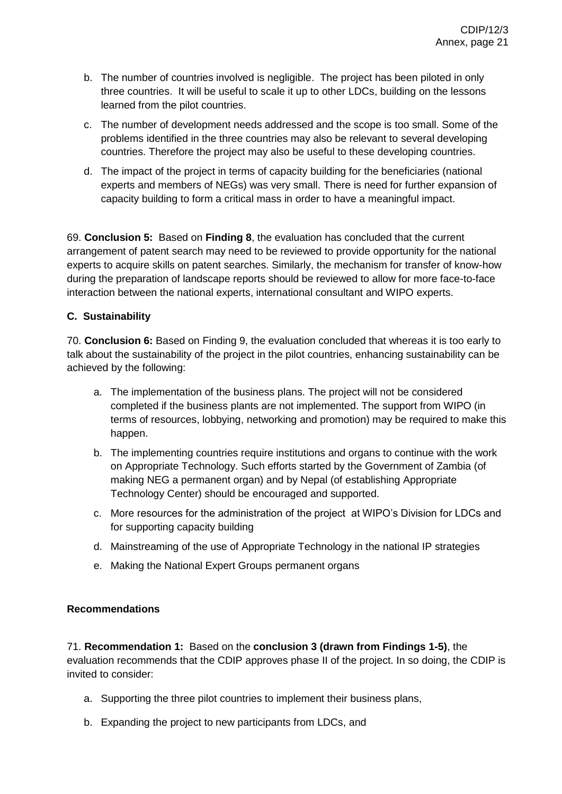- b. The number of countries involved is negligible. The project has been piloted in only three countries. It will be useful to scale it up to other LDCs, building on the lessons learned from the pilot countries.
- c. The number of development needs addressed and the scope is too small. Some of the problems identified in the three countries may also be relevant to several developing countries. Therefore the project may also be useful to these developing countries.
- d. The impact of the project in terms of capacity building for the beneficiaries (national experts and members of NEGs) was very small. There is need for further expansion of capacity building to form a critical mass in order to have a meaningful impact.

69. **Conclusion 5:** Based on **Finding 8**, the evaluation has concluded that the current arrangement of patent search may need to be reviewed to provide opportunity for the national experts to acquire skills on patent searches. Similarly, the mechanism for transfer of know-how during the preparation of landscape reports should be reviewed to allow for more face-to-face interaction between the national experts, international consultant and WIPO experts.

### **C. Sustainability**

70. **Conclusion 6:** Based on Finding 9, the evaluation concluded that whereas it is too early to talk about the sustainability of the project in the pilot countries, enhancing sustainability can be achieved by the following:

- a. The implementation of the business plans. The project will not be considered completed if the business plants are not implemented. The support from WIPO (in terms of resources, lobbying, networking and promotion) may be required to make this happen.
- b. The implementing countries require institutions and organs to continue with the work on Appropriate Technology. Such efforts started by the Government of Zambia (of making NEG a permanent organ) and by Nepal (of establishing Appropriate Technology Center) should be encouraged and supported.
- c. More resources for the administration of the project at WIPO's Division for LDCs and for supporting capacity building
- d. Mainstreaming of the use of Appropriate Technology in the national IP strategies
- e. Making the National Expert Groups permanent organs

### **Recommendations**

71. **Recommendation 1:** Based on the **conclusion 3 (drawn from Findings 1-5)**, the evaluation recommends that the CDIP approves phase II of the project. In so doing, the CDIP is invited to consider:

- a. Supporting the three pilot countries to implement their business plans,
- b. Expanding the project to new participants from LDCs, and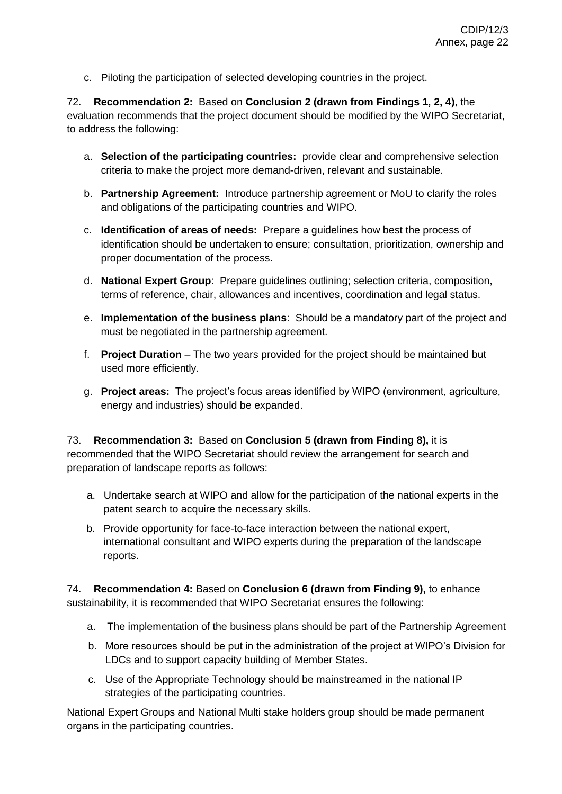c. Piloting the participation of selected developing countries in the project.

72. **Recommendation 2:** Based on **Conclusion 2 (drawn from Findings 1, 2, 4)**, the evaluation recommends that the project document should be modified by the WIPO Secretariat, to address the following:

- a. **Selection of the participating countries:** provide clear and comprehensive selection criteria to make the project more demand-driven, relevant and sustainable.
- b. **Partnership Agreement:** Introduce partnership agreement or MoU to clarify the roles and obligations of the participating countries and WIPO.
- c. **Identification of areas of needs:** Prepare a guidelines how best the process of identification should be undertaken to ensure; consultation, prioritization, ownership and proper documentation of the process.
- d. **National Expert Group**: Prepare guidelines outlining; selection criteria, composition, terms of reference, chair, allowances and incentives, coordination and legal status.
- e. **Implementation of the business plans**: Should be a mandatory part of the project and must be negotiated in the partnership agreement.
- f. **Project Duration** The two years provided for the project should be maintained but used more efficiently.
- g. **Project areas:** The project's focus areas identified by WIPO (environment, agriculture, energy and industries) should be expanded.

73. **Recommendation 3:** Based on **Conclusion 5 (drawn from Finding 8),** it is recommended that the WIPO Secretariat should review the arrangement for search and preparation of landscape reports as follows:

- a. Undertake search at WIPO and allow for the participation of the national experts in the patent search to acquire the necessary skills.
- b. Provide opportunity for face-to-face interaction between the national expert, international consultant and WIPO experts during the preparation of the landscape reports.

74. **Recommendation 4:** Based on **Conclusion 6 (drawn from Finding 9),** to enhance sustainability, it is recommended that WIPO Secretariat ensures the following:

- a. The implementation of the business plans should be part of the Partnership Agreement
- b. More resources should be put in the administration of the project at WIPO's Division for LDCs and to support capacity building of Member States.
- c. Use of the Appropriate Technology should be mainstreamed in the national IP strategies of the participating countries.

National Expert Groups and National Multi stake holders group should be made permanent organs in the participating countries.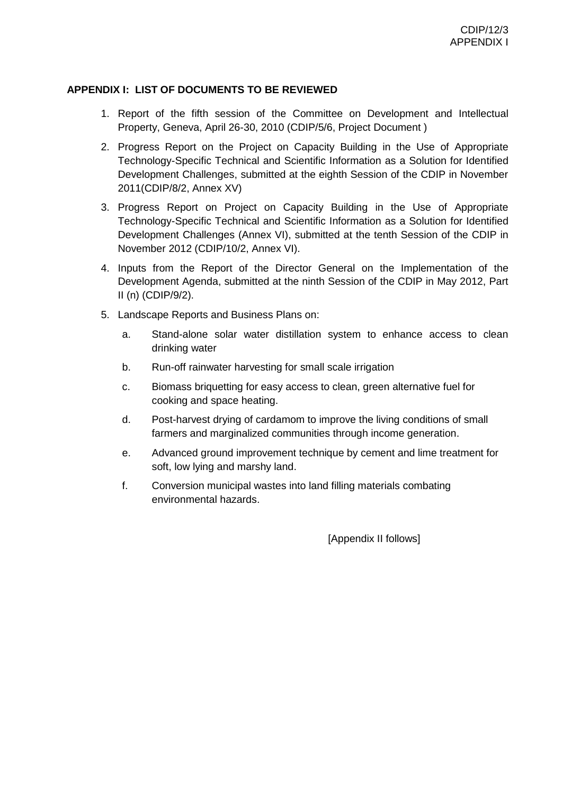#### **APPENDIX I: LIST OF DOCUMENTS TO BE REVIEWED**

- 1. Report of the fifth session of the Committee on Development and Intellectual Property, Geneva, April 26-30, 2010 (CDIP/5/6, Project Document )
- 2. Progress Report on the Project on Capacity Building in the Use of Appropriate Technology-Specific Technical and Scientific Information as a Solution for Identified Development Challenges, submitted at the eighth Session of the CDIP in November 2011(CDIP/8/2, Annex XV)
- 3. Progress Report on Project on Capacity Building in the Use of Appropriate Technology-Specific Technical and Scientific Information as a Solution for Identified Development Challenges (Annex VI), submitted at the tenth Session of the CDIP in November 2012 (CDIP/10/2, Annex VI).
- 4. Inputs from the Report of the Director General on the Implementation of the Development Agenda, submitted at the ninth Session of the CDIP in May 2012, Part II (n) (CDIP/9/2).
- 5. Landscape Reports and Business Plans on:
	- a. Stand-alone solar water distillation system to enhance access to clean drinking water
	- b. Run-off rainwater harvesting for small scale irrigation
	- c. Biomass briquetting for easy access to clean, green alternative fuel for cooking and space heating.
	- d. Post-harvest drying of cardamom to improve the living conditions of small farmers and marginalized communities through income generation.
	- e. Advanced ground improvement technique by cement and lime treatment for soft, low lying and marshy land.
	- f. Conversion municipal wastes into land filling materials combating environmental hazards.

[Appendix II follows]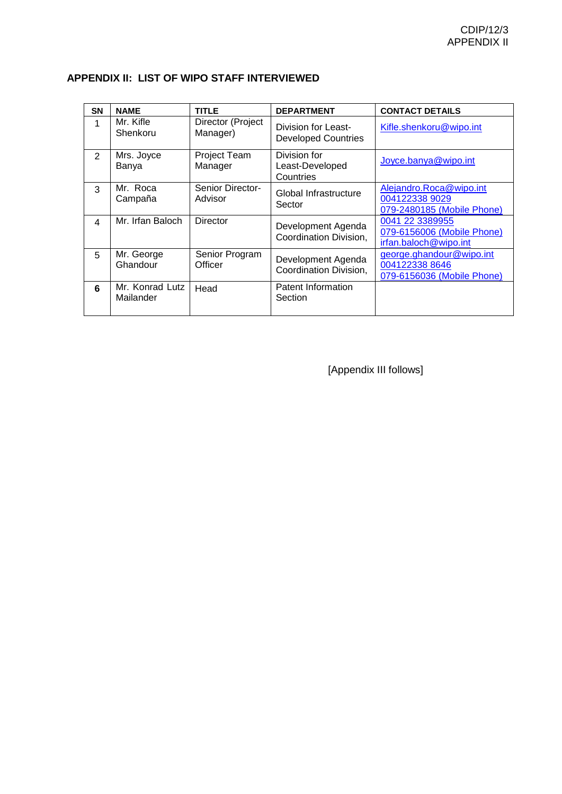|  |  | APPENDIX II: LIST OF WIPO STAFF INTERVIEWED |
|--|--|---------------------------------------------|
|--|--|---------------------------------------------|

| <b>SN</b>               | <b>NAME</b>                  | <b>TITLE</b>                  | <b>DEPARTMENT</b>                                 | <b>CONTACT DETAILS</b>                                                   |
|-------------------------|------------------------------|-------------------------------|---------------------------------------------------|--------------------------------------------------------------------------|
| 1                       | Mr. Kifle<br>Shenkoru        | Director (Project<br>Manager) | Division for Least-<br><b>Developed Countries</b> | Kifle.shenkoru@wipo.int                                                  |
| $\overline{2}$          | Mrs. Joyce<br>Banya          | Project Team<br>Manager       | Division for<br>Least-Developed<br>Countries      | Joyce.banya@wipo.int                                                     |
| 3                       | Mr. Roca<br>Campaña          | Senior Director-<br>Advisor   | Global Infrastructure<br>Sector                   | Alejandro.Roca@wipo.int<br>004122338 9029<br>079-2480185 (Mobile Phone)  |
| $\overline{\mathbf{4}}$ | Mr. Irfan Baloch             | <b>Director</b>               | Development Agenda<br>Coordination Division,      | 0041 22 3389955<br>079-6156006 (Mobile Phone)<br>irfan.baloch@wipo.int   |
| 5                       | Mr. George<br>Ghandour       | Senior Program<br>Officer     | Development Agenda<br>Coordination Division,      | george.ghandour@wipo.int<br>004122338 8646<br>079-6156036 (Mobile Phone) |
| 6                       | Mr. Konrad Lutz<br>Mailander | Head                          | Patent Information<br>Section                     |                                                                          |

[Appendix III follows]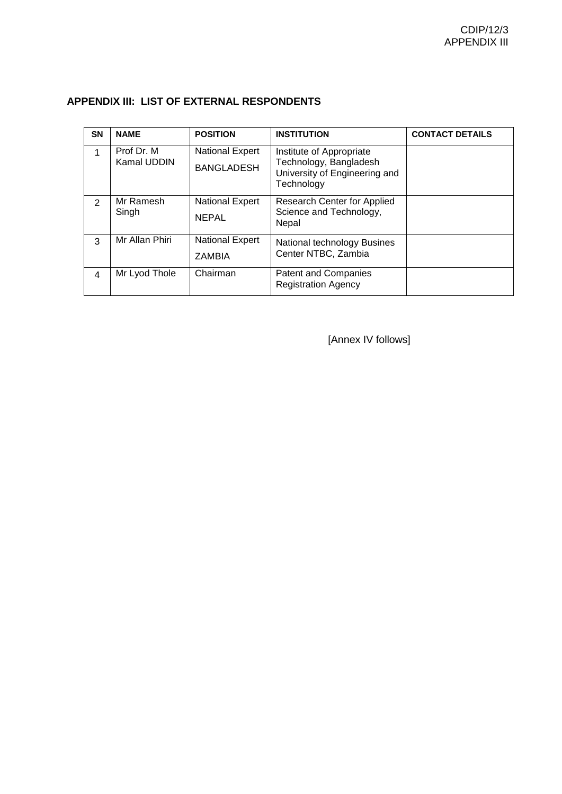| <b>SN</b>     | <b>NAME</b>               | <b>POSITION</b>                             | <b>INSTITUTION</b>                                                                                | <b>CONTACT DETAILS</b> |
|---------------|---------------------------|---------------------------------------------|---------------------------------------------------------------------------------------------------|------------------------|
| 1             | Prof Dr. M<br>Kamal UDDIN | <b>National Expert</b><br><b>BANGLADESH</b> | Institute of Appropriate<br>Technology, Bangladesh<br>University of Engineering and<br>Technology |                        |
| $\mathcal{P}$ | Mr Ramesh<br>Singh        | <b>National Expert</b><br><b>NEPAL</b>      | <b>Research Center for Applied</b><br>Science and Technology,<br>Nepal                            |                        |
| 3             | Mr Allan Phiri            | National Expert<br><b>ZAMBIA</b>            | National technology Busines<br>Center NTBC, Zambia                                                |                        |
| 4             | Mr Lyod Thole             | Chairman                                    | <b>Patent and Companies</b><br><b>Registration Agency</b>                                         |                        |

### **APPENDIX III: LIST OF EXTERNAL RESPONDENTS**

[Annex IV follows]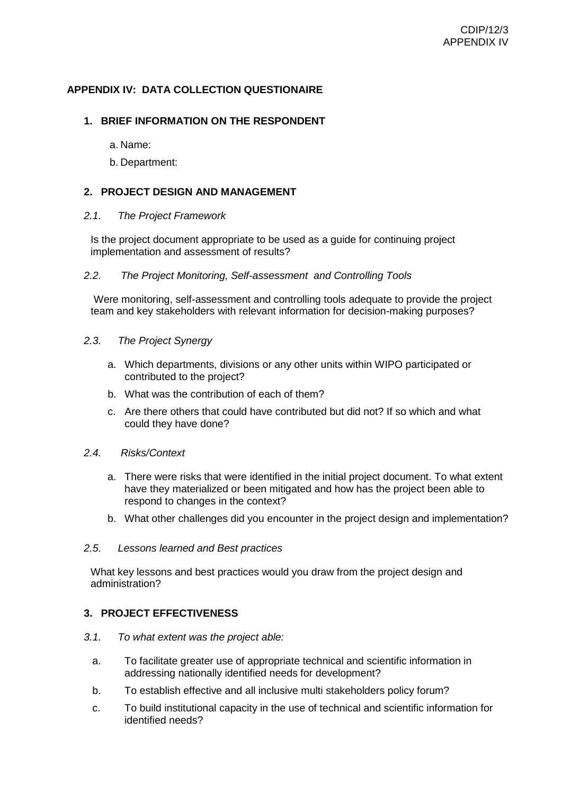#### **APPENDIX IV: DATA COLLECTION QUESTIONAIRE**

#### **1. BRIEF INFORMATION ON THE RESPONDENT**

a. Name:

b. Department:

#### **2. PROJECT DESIGN AND MANAGEMENT**

#### *2.1. The Project Framework*

Is the project document appropriate to be used as a guide for continuing project implementation and assessment of results?

#### *2.2. The Project Monitoring, Self-assessment and Controlling Tools*

Were monitoring, self-assessment and controlling tools adequate to provide the project team and key stakeholders with relevant information for decision-making purposes?

- *2.3. The Project Synergy* 
	- a. Which departments, divisions or any other units within WIPO participated or contributed to the project?
	- b. What was the contribution of each of them?
	- c. Are there others that could have contributed but did not? If so which and what could they have done?

#### *2.4. Risks/Context*

- a. There were risks that were identified in the initial project document. To what extent have they materialized or been mitigated and how has the project been able to respond to changes in the context?
- b. What other challenges did you encounter in the project design and implementation?

#### *2.5. Lessons learned and Best practices*

What key lessons and best practices would you draw from the project design and administration?

#### **3. PROJECT EFFECTIVENESS**

- *3.1. To what extent was the project able:* 
	- a. To facilitate greater use of appropriate technical and scientific information in addressing nationally identified needs for development?
	- b. To establish effective and all inclusive multi stakeholders policy forum?
	- c. To build institutional capacity in the use of technical and scientific information for identified needs?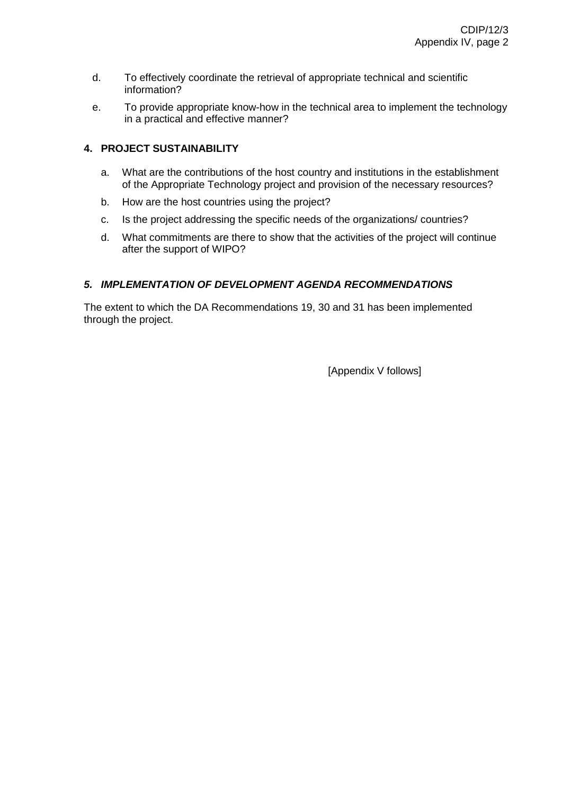- d. To effectively coordinate the retrieval of appropriate technical and scientific information?
- e. To provide appropriate know-how in the technical area to implement the technology in a practical and effective manner?

### **4. PROJECT SUSTAINABILITY**

- a. What are the contributions of the host country and institutions in the establishment of the Appropriate Technology project and provision of the necessary resources?
- b. How are the host countries using the project?
- c. Is the project addressing the specific needs of the organizations/ countries?
- d. What commitments are there to show that the activities of the project will continue after the support of WIPO?

#### *5. IMPLEMENTATION OF DEVELOPMENT AGENDA RECOMMENDATIONS*

The extent to which the DA Recommendations 19, 30 and 31 has been implemented through the project.

[Appendix V follows]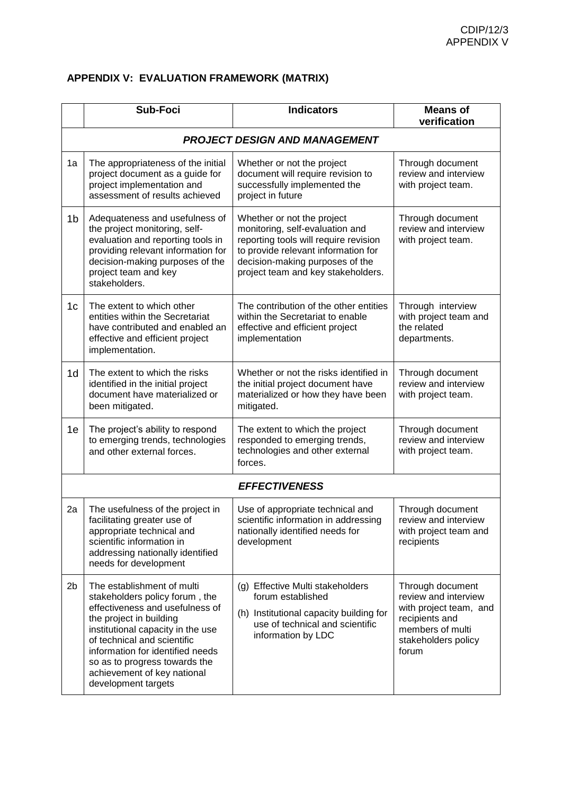# **APPENDIX V: EVALUATION FRAMEWORK (MATRIX)**

|                | <b>Sub-Foci</b>                                                                                                                                                                                                                                                                                                           | <b>Indicators</b>                                                                                                                                                                                                      | <b>Means of</b><br>verification                                                                                                          |  |  |  |
|----------------|---------------------------------------------------------------------------------------------------------------------------------------------------------------------------------------------------------------------------------------------------------------------------------------------------------------------------|------------------------------------------------------------------------------------------------------------------------------------------------------------------------------------------------------------------------|------------------------------------------------------------------------------------------------------------------------------------------|--|--|--|
|                | <b>PROJECT DESIGN AND MANAGEMENT</b>                                                                                                                                                                                                                                                                                      |                                                                                                                                                                                                                        |                                                                                                                                          |  |  |  |
| 1a             | The appropriateness of the initial<br>project document as a guide for<br>project implementation and<br>assessment of results achieved                                                                                                                                                                                     | Whether or not the project<br>document will require revision to<br>successfully implemented the<br>project in future                                                                                                   | Through document<br>review and interview<br>with project team.                                                                           |  |  |  |
| 1 <sub>b</sub> | Adequateness and usefulness of<br>the project monitoring, self-<br>evaluation and reporting tools in<br>providing relevant information for<br>decision-making purposes of the<br>project team and key<br>stakeholders.                                                                                                    | Whether or not the project<br>monitoring, self-evaluation and<br>reporting tools will require revision<br>to provide relevant information for<br>decision-making purposes of the<br>project team and key stakeholders. | Through document<br>review and interview<br>with project team.                                                                           |  |  |  |
| 1c             | The extent to which other<br>entities within the Secretariat<br>have contributed and enabled an<br>effective and efficient project<br>implementation.                                                                                                                                                                     | The contribution of the other entities<br>within the Secretariat to enable<br>effective and efficient project<br>implementation                                                                                        | Through interview<br>with project team and<br>the related<br>departments.                                                                |  |  |  |
| 1d             | The extent to which the risks<br>identified in the initial project<br>document have materialized or<br>been mitigated.                                                                                                                                                                                                    | Whether or not the risks identified in<br>the initial project document have<br>materialized or how they have been<br>mitigated.                                                                                        | Through document<br>review and interview<br>with project team.                                                                           |  |  |  |
| 1e             | The project's ability to respond<br>to emerging trends, technologies<br>and other external forces.                                                                                                                                                                                                                        | The extent to which the project<br>responded to emerging trends,<br>technologies and other external<br>forces.                                                                                                         | Through document<br>review and interview<br>with project team.                                                                           |  |  |  |
|                |                                                                                                                                                                                                                                                                                                                           | <b>EFFECTIVENESS</b>                                                                                                                                                                                                   |                                                                                                                                          |  |  |  |
| 2a             | The usefulness of the project in<br>facilitating greater use of<br>appropriate technical and<br>scientific information in<br>addressing nationally identified<br>needs for development                                                                                                                                    | Use of appropriate technical and<br>scientific information in addressing<br>nationally identified needs for<br>development                                                                                             | Through document<br>review and interview<br>with project team and<br>recipients                                                          |  |  |  |
| 2 <sub>b</sub> | The establishment of multi<br>stakeholders policy forum, the<br>effectiveness and usefulness of<br>the project in building<br>institutional capacity in the use<br>of technical and scientific<br>information for identified needs<br>so as to progress towards the<br>achievement of key national<br>development targets | (g) Effective Multi stakeholders<br>forum established<br>(h) Institutional capacity building for<br>use of technical and scientific<br>information by LDC                                                              | Through document<br>review and interview<br>with project team, and<br>recipients and<br>members of multi<br>stakeholders policy<br>forum |  |  |  |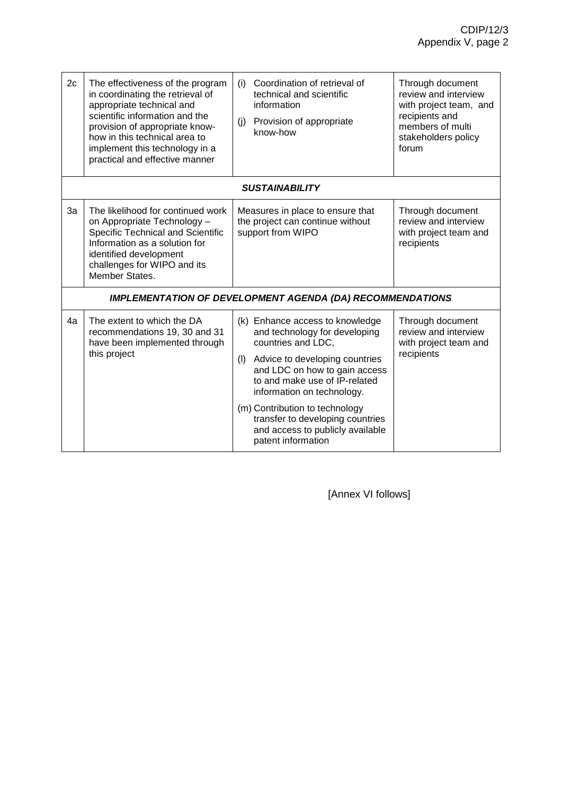| 2c | The effectiveness of the program<br>in coordinating the retrieval of<br>appropriate technical and<br>scientific information and the<br>provision of appropriate know-<br>how in this technical area to<br>implement this technology in a<br>practical and effective manner | Coordination of retrieval of<br>(i)<br>technical and scientific<br>information<br>Provision of appropriate<br>(i)<br>know-how                                                                                                                                                                                                                                   | Through document<br>review and interview<br>with project team, and<br>recipients and<br>members of multi<br>stakeholders policy<br>forum |
|----|----------------------------------------------------------------------------------------------------------------------------------------------------------------------------------------------------------------------------------------------------------------------------|-----------------------------------------------------------------------------------------------------------------------------------------------------------------------------------------------------------------------------------------------------------------------------------------------------------------------------------------------------------------|------------------------------------------------------------------------------------------------------------------------------------------|
|    |                                                                                                                                                                                                                                                                            | <b>SUSTAINABILITY</b>                                                                                                                                                                                                                                                                                                                                           |                                                                                                                                          |
| 3a | The likelihood for continued work<br>on Appropriate Technology -<br>Specific Technical and Scientific<br>Information as a solution for<br>identified development<br>challenges for WIPO and its<br>Member States.                                                          | Measures in place to ensure that<br>the project can continue without<br>support from WIPO                                                                                                                                                                                                                                                                       | Through document<br>review and interview<br>with project team and<br>recipients                                                          |
|    |                                                                                                                                                                                                                                                                            | <b>IMPLEMENTATION OF DEVELOPMENT AGENDA (DA) RECOMMENDATIONS</b>                                                                                                                                                                                                                                                                                                |                                                                                                                                          |
| 4a | The extent to which the DA<br>recommendations 19, 30 and 31<br>have been implemented through<br>this project                                                                                                                                                               | (k) Enhance access to knowledge<br>and technology for developing<br>countries and LDC,<br>Advice to developing countries<br>(1)<br>and LDC on how to gain access<br>to and make use of IP-related<br>information on technology.<br>(m) Contribution to technology<br>transfer to developing countries<br>and access to publicly available<br>patent information | Through document<br>review and interview<br>with project team and<br>recipients                                                          |

[Annex VI follows]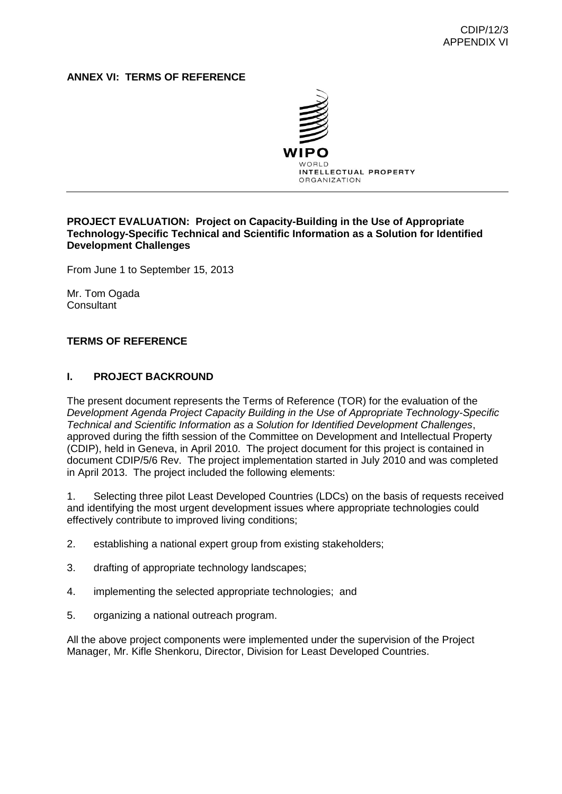#### **ANNEX VI: TERMS OF REFERENCE**



#### **PROJECT EVALUATION: Project on Capacity-Building in the Use of Appropriate Technology-Specific Technical and Scientific Information as a Solution for Identified Development Challenges**

From June 1 to September 15, 2013

Mr. Tom Ogada **Consultant** 

#### **TERMS OF REFERENCE**

#### **I. PROJECT BACKROUND**

The present document represents the Terms of Reference (TOR) for the evaluation of the *Development Agenda Project Capacity Building in the Use of Appropriate Technology-Specific Technical and Scientific Information as a Solution for Identified Development Challenges*, approved during the fifth session of the Committee on Development and Intellectual Property (CDIP), held in Geneva, in April 2010. The project document for this project is contained in document CDIP/5/6 Rev. The project implementation started in July 2010 and was completed in April 2013. The project included the following elements:

1. Selecting three pilot Least Developed Countries (LDCs) on the basis of requests received and identifying the most urgent development issues where appropriate technologies could effectively contribute to improved living conditions;

- 2. establishing a national expert group from existing stakeholders;
- 3. drafting of appropriate technology landscapes;
- 4. implementing the selected appropriate technologies; and
- 5. organizing a national outreach program.

All the above project components were implemented under the supervision of the Project Manager, Mr. Kifle Shenkoru, Director, Division for Least Developed Countries.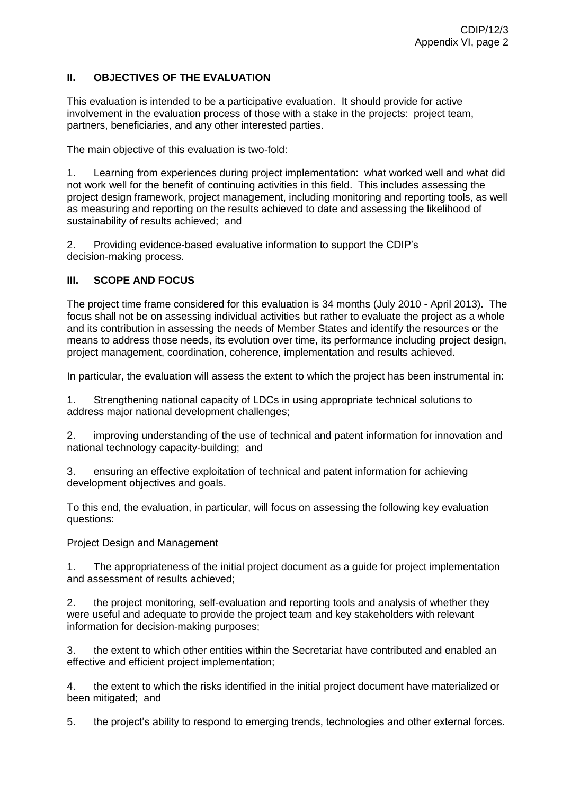### **II. OBJECTIVES OF THE EVALUATION**

This evaluation is intended to be a participative evaluation. It should provide for active involvement in the evaluation process of those with a stake in the projects: project team, partners, beneficiaries, and any other interested parties.

The main objective of this evaluation is two-fold:

1. Learning from experiences during project implementation: what worked well and what did not work well for the benefit of continuing activities in this field. This includes assessing the project design framework, project management, including monitoring and reporting tools, as well as measuring and reporting on the results achieved to date and assessing the likelihood of sustainability of results achieved; and

2. Providing evidence-based evaluative information to support the CDIP's decision-making process.

#### **III. SCOPE AND FOCUS**

The project time frame considered for this evaluation is 34 months (July 2010 - April 2013). The focus shall not be on assessing individual activities but rather to evaluate the project as a whole and its contribution in assessing the needs of Member States and identify the resources or the means to address those needs, its evolution over time, its performance including project design, project management, coordination, coherence, implementation and results achieved.

In particular, the evaluation will assess the extent to which the project has been instrumental in:

1. Strengthening national capacity of LDCs in using appropriate technical solutions to address major national development challenges;

2. improving understanding of the use of technical and patent information for innovation and national technology capacity-building; and

3. ensuring an effective exploitation of technical and patent information for achieving development objectives and goals.

To this end, the evaluation, in particular, will focus on assessing the following key evaluation questions:

#### Project Design and Management

1. The appropriateness of the initial project document as a guide for project implementation and assessment of results achieved;

2. the project monitoring, self-evaluation and reporting tools and analysis of whether they were useful and adequate to provide the project team and key stakeholders with relevant information for decision-making purposes;

3. the extent to which other entities within the Secretariat have contributed and enabled an effective and efficient project implementation;

4. the extent to which the risks identified in the initial project document have materialized or been mitigated; and

5. the project's ability to respond to emerging trends, technologies and other external forces.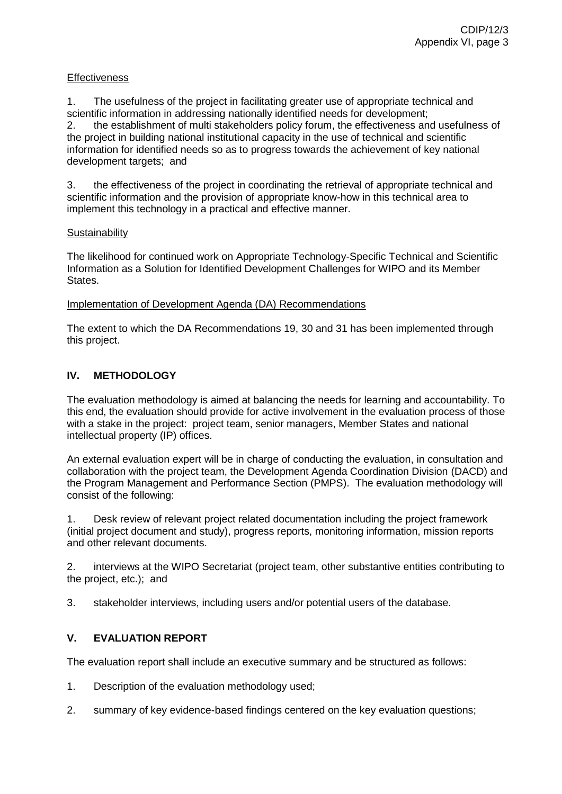#### **Effectiveness**

1. The usefulness of the project in facilitating greater use of appropriate technical and scientific information in addressing nationally identified needs for development;

2. the establishment of multi stakeholders policy forum, the effectiveness and usefulness of the project in building national institutional capacity in the use of technical and scientific information for identified needs so as to progress towards the achievement of key national development targets; and

3. the effectiveness of the project in coordinating the retrieval of appropriate technical and scientific information and the provision of appropriate know-how in this technical area to implement this technology in a practical and effective manner.

#### **Sustainability**

The likelihood for continued work on Appropriate Technology-Specific Technical and Scientific Information as a Solution for Identified Development Challenges for WIPO and its Member States.

#### Implementation of Development Agenda (DA) Recommendations

The extent to which the DA Recommendations 19, 30 and 31 has been implemented through this project.

#### **IV. METHODOLOGY**

The evaluation methodology is aimed at balancing the needs for learning and accountability. To this end, the evaluation should provide for active involvement in the evaluation process of those with a stake in the project: project team, senior managers, Member States and national intellectual property (IP) offices.

An external evaluation expert will be in charge of conducting the evaluation, in consultation and collaboration with the project team, the Development Agenda Coordination Division (DACD) and the Program Management and Performance Section (PMPS). The evaluation methodology will consist of the following:

1. Desk review of relevant project related documentation including the project framework (initial project document and study), progress reports, monitoring information, mission reports and other relevant documents.

2. interviews at the WIPO Secretariat (project team, other substantive entities contributing to the project, etc.); and

3. stakeholder interviews, including users and/or potential users of the database.

### **V. EVALUATION REPORT**

The evaluation report shall include an executive summary and be structured as follows:

- 1. Description of the evaluation methodology used;
- 2. summary of key evidence-based findings centered on the key evaluation questions;